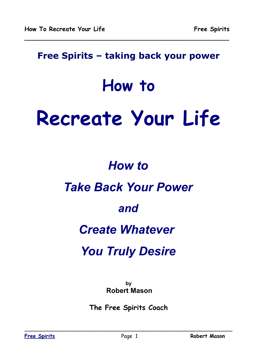### **Free Spirits – taking back your power**

**\_\_\_\_\_\_\_\_\_\_\_\_\_\_\_\_\_\_\_\_\_\_\_\_\_\_\_\_\_\_\_\_\_\_\_\_\_\_\_\_\_\_\_\_\_\_\_\_\_\_\_\_\_\_**

## **How to**

# **Recreate Your Life**

## *How to*

## *Take Back Your Power*

## *and*

## *Create Whatever*

## *You Truly Desire*

**by Robert Mason**

**The Free Spirits Coach**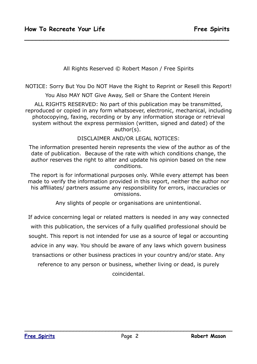All Rights Reserved © Robert Mason / Free Spirits

**\_\_\_\_\_\_\_\_\_\_\_\_\_\_\_\_\_\_\_\_\_\_\_\_\_\_\_\_\_\_\_\_\_\_\_\_\_\_\_\_\_\_\_\_\_\_\_\_\_\_\_\_\_\_**

NOTICE: Sorry But You Do NOT Have the Right to Reprint or Resell this Report!

You Also MAY NOT Give Away, Sell or Share the Content Herein

ALL RIGHTS RESERVED: No part of this publication may be transmitted, reproduced or copied in any form whatsoever, electronic, mechanical, including photocopying, faxing, recording or by any information storage or retrieval system without the express permission (written, signed and dated) of the author(s).

DISCLAIMER AND/OR LEGAL NOTICES:

 The information presented herein represents the view of the author as of the date of publication. Because of the rate with which conditions change, the author reserves the right to alter and update his opinion based on the new conditions.

 The report is for informational purposes only. While every attempt has been made to verify the information provided in this report, neither the author nor his affiliates/ partners assume any responsibility for errors, inaccuracies or omissions.

Any slights of people or organisations are unintentional.

If advice concerning legal or related matters is needed in any way connected with this publication, the services of a fully qualified professional should be sought. This report is not intended for use as a source of legal or accounting advice in any way. You should be aware of any laws which govern business transactions or other business practices in your country and/or state. Any reference to any person or business, whether living or dead, is purely

coincidental.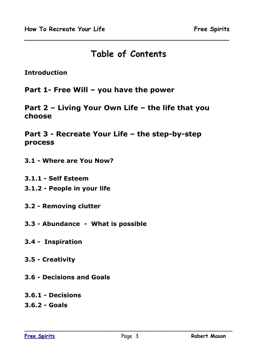### **Table of Contents**

**\_\_\_\_\_\_\_\_\_\_\_\_\_\_\_\_\_\_\_\_\_\_\_\_\_\_\_\_\_\_\_\_\_\_\_\_\_\_\_\_\_\_\_\_\_\_\_\_\_\_\_\_\_\_**

**Introduction**

**Part 1- Free Will – you have the power**

**Part 2 – Living Your Own Life – the life that you choose**

**Part 3 - Recreate Your Life – the step-by-step process**

**3.1 - Where are You Now?**

**3.1.1 - Self Esteem**

**3.1.2 - People in your life**

**3.2 - Removing clutter**

- **3.3 Abundance What is possible**
- **3.4 Inspiration**
- **3.5 Creativity**
- **3.6 Decisions and Goals**
- **3.6.1 Decisions**
- **3.6.2 Goals**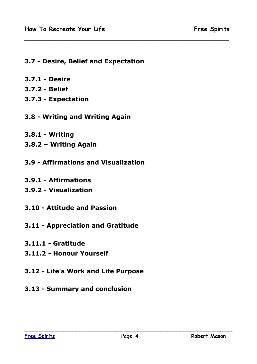#### **3.7 - Desire, Belief and Expectation**

- **3.7.1 Desire**
- **3.7.2 Belief**
- **3.7.3 Expectation**
- **3.8 Writing and Writing Again**
- **3.8.1 Writing**
- **3.8.2 Writing Again**
- **3.9 Affirmations and Visualization**
- **3.9.1 Affirmations**
- **3.9.2 Visualization**
- **3.10 Attitude and Passion**
- **3.11 Appreciation and Gratitude**
- **3.11.1 Gratitude**
- **3.11.2 Honour Yourself**
- **3.12 Life's Work and Life Purpose**
- **3.13 Summary and conclusion**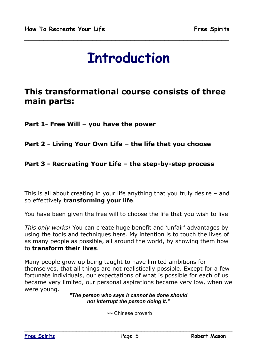## **Introduction**

**\_\_\_\_\_\_\_\_\_\_\_\_\_\_\_\_\_\_\_\_\_\_\_\_\_\_\_\_\_\_\_\_\_\_\_\_\_\_\_\_\_\_\_\_\_\_\_\_\_\_\_\_\_\_**

### **This transformational course consists of three main parts:**

**Part 1- Free Will – you have the power**

#### **Part 2 - Living Your Own Life – the life that you choose**

#### **Part 3 - Recreating Your Life – the step-by-step process**

This is all about creating in your life anything that you truly desire – and so effectively **transforming your life**.

You have been given the free will to choose the life that you wish to live.

*This only works!* You can create huge benefit and 'unfair' advantages by using the tools and techniques here. My intention is to touch the lives of as many people as possible, all around the world, by showing them how to **transform their lives**.

Many people grow up being taught to have limited ambitions for themselves, that all things are not realistically possible. Except for a few fortunate individuals, our expectations of what is possible for each of us became very limited, our personal aspirations became very low, when we were young.

*"The person who says it cannot be done should not interrupt the person doing it."*

 *~~* Chinese proverb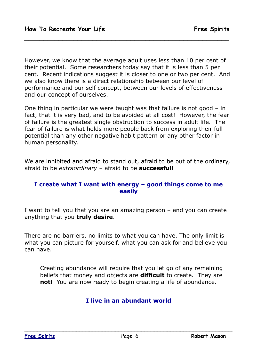However, we know that the average adult uses less than 10 per cent of their potential. Some researchers today say that it is less than 5 per cent. Recent indications suggest it is closer to one or two per cent. And we also know there is a direct relationship between our level of performance and our self concept, between our levels of effectiveness and our concept of ourselves.

**\_\_\_\_\_\_\_\_\_\_\_\_\_\_\_\_\_\_\_\_\_\_\_\_\_\_\_\_\_\_\_\_\_\_\_\_\_\_\_\_\_\_\_\_\_\_\_\_\_\_\_\_\_\_**

One thing in particular we were taught was that failure is not good – in fact, that it is very bad, and to be avoided at all cost! However, the fear of failure is the greatest single obstruction to success in adult life. The fear of failure is what holds more people back from exploring their full potential than any other negative habit pattern or any other factor in human personality.

We are inhibited and afraid to stand out, afraid to be out of the ordinary, afraid to be *extraordinary* – afraid to be **successful!**

#### **I create what I want with energy – good things come to me easily**

I want to tell you that you are an amazing person – and you can create anything that you **truly desire**.

There are no barriers, no limits to what you can have. The only limit is what you can picture for yourself, what you can ask for and believe you can have.

Creating abundance will require that you let go of any remaining beliefs that money and objects are **difficult** to create. They are **not!** You are now ready to begin creating a life of abundance.

#### **I live in an abundant world**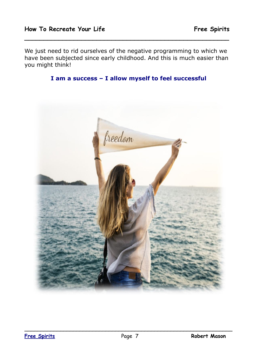We just need to rid ourselves of the negative programming to which we have been subjected since early childhood. And this is much easier than you might think!



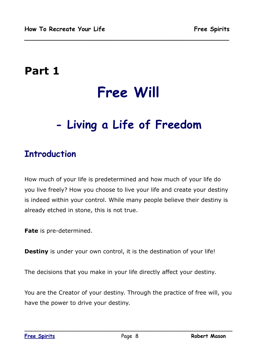## **Part 1**

## **Free Will**

**\_\_\_\_\_\_\_\_\_\_\_\_\_\_\_\_\_\_\_\_\_\_\_\_\_\_\_\_\_\_\_\_\_\_\_\_\_\_\_\_\_\_\_\_\_\_\_\_\_\_\_\_\_\_**

## **- Living a Life of Freedom**

## **Introduction**

How much of your life is predetermined and how much of your life do you live freely? How you choose to live your life and create your destiny is indeed within your control. While many people believe their destiny is already etched in stone, this is not true.

**Fate** is pre-determined.

**Destiny** is under your own control, it is the destination of your life!

The decisions that you make in your life directly affect your destiny.

You are the Creator of your destiny. Through the practice of free will, you have the power to drive your destiny.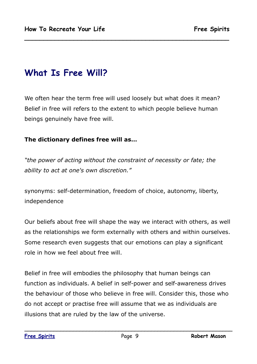## **What Is Free Will?**

We often hear the term free will used loosely but what does it mean? Belief in free will refers to the extent to which people believe human beings genuinely have free will.

**\_\_\_\_\_\_\_\_\_\_\_\_\_\_\_\_\_\_\_\_\_\_\_\_\_\_\_\_\_\_\_\_\_\_\_\_\_\_\_\_\_\_\_\_\_\_\_\_\_\_\_\_\_\_**

#### **The dictionary defines free will as…**

*"the power of acting without the constraint of necessity or fate; the ability to act at one's own discretion."*

synonyms: self-determination, freedom of choice, autonomy, liberty, independence

Our beliefs about free will shape the way we interact with others, as well as the relationships we form externally with others and within ourselves. Some research even suggests that our emotions can play a significant role in how we feel about free will.

Belief in free will embodies the philosophy that human beings can function as individuals. A belief in self-power and self-awareness drives the behaviour of those who believe in free will. Consider this, those who do not accept or practise free will assume that we as individuals are illusions that are ruled by the law of the universe.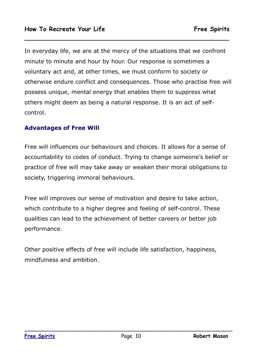In everyday life, we are at the mercy of the situations that we confront minute to minute and hour by hour. Our response is sometimes a voluntary act and, at other times, we must conform to society or otherwise endure conflict and consequences. Those who practise free will possess unique, mental energy that enables them to suppress what others might deem as being a natural response. It is an act of selfcontrol.

**\_\_\_\_\_\_\_\_\_\_\_\_\_\_\_\_\_\_\_\_\_\_\_\_\_\_\_\_\_\_\_\_\_\_\_\_\_\_\_\_\_\_\_\_\_\_\_\_\_\_\_\_\_\_**

#### **Advantages of Free Will**

Free will influences our behaviours and choices. It allows for a sense of accountability to codes of conduct. Trying to change someone's belief or practice of free will may take away or weaken their moral obligations to society, triggering immoral behaviours.

Free will improves our sense of motivation and desire to take action, which contribute to a higher degree and feeling of self-control. These qualities can lead to the achievement of better careers or better job performance.

Other positive effects of free will include life satisfaction, happiness, mindfulness and ambition.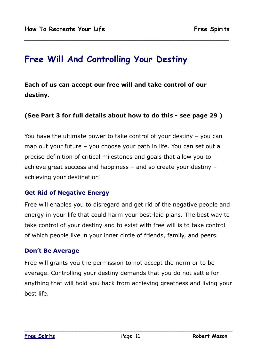## **Free Will And Controlling Your Destiny**

**Each of us can accept our free will and take control of our destiny.**

#### **(See Part 3 for full details about how to do this - see page 29 )**

**\_\_\_\_\_\_\_\_\_\_\_\_\_\_\_\_\_\_\_\_\_\_\_\_\_\_\_\_\_\_\_\_\_\_\_\_\_\_\_\_\_\_\_\_\_\_\_\_\_\_\_\_\_\_**

You have the ultimate power to take control of your destiny – you can map out your future – you choose your path in life. You can set out a precise definition of critical milestones and goals that allow you to achieve great success and happiness – and so create your destiny – achieving your destination!

#### **Get Rid of Negative Energy**

Free will enables you to disregard and get rid of the negative people and energy in your life that could harm your best-laid plans. The best way to take control of your destiny and to exist with free will is to take control of which people live in your inner circle of friends, family, and peers.

#### **Don't Be Average**

Free will grants you the permission to not accept the norm or to be average. Controlling your destiny demands that you do not settle for anything that will hold you back from achieving greatness and living your best life.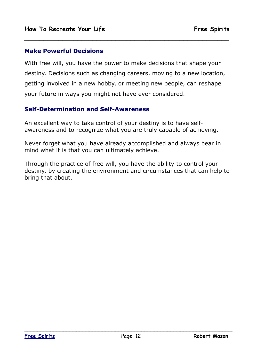#### **Make Powerful Decisions**

With free will, you have the power to make decisions that shape your destiny. Decisions such as changing careers, moving to a new location, getting involved in a new hobby, or meeting new people, can reshape your future in ways you might not have ever considered.

**\_\_\_\_\_\_\_\_\_\_\_\_\_\_\_\_\_\_\_\_\_\_\_\_\_\_\_\_\_\_\_\_\_\_\_\_\_\_\_\_\_\_\_\_\_\_\_\_\_\_\_\_\_\_**

#### **Self-Determination and Self-Awareness**

An excellent way to take control of your destiny is to have selfawareness and to recognize what you are truly capable of achieving.

Never forget what you have already accomplished and always bear in mind what it is that you can ultimately achieve.

Through the practice of free will, you have the ability to control your destiny, by creating the environment and circumstances that can help to bring that about.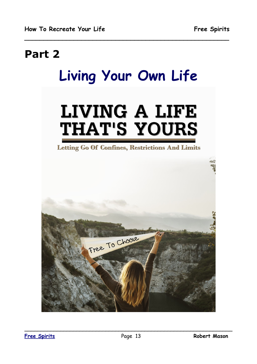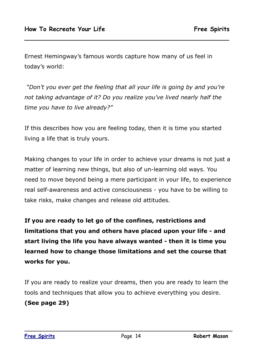Ernest Hemingway's famous words capture how many of us feel in today's world:

**\_\_\_\_\_\_\_\_\_\_\_\_\_\_\_\_\_\_\_\_\_\_\_\_\_\_\_\_\_\_\_\_\_\_\_\_\_\_\_\_\_\_\_\_\_\_\_\_\_\_\_\_\_\_**

 *"Don't you ever get the feeling that all your life is going by and you're not taking advantage of it? Do you realize you've lived nearly half the time you have to live already?"* 

If this describes how you are feeling today, then it is time you started living a life that is truly yours.

Making changes to your life in order to achieve your dreams is not just a matter of learning new things, but also of un-learning old ways. You need to move beyond being a mere participant in your life, to experience real self-awareness and active consciousness - you have to be willing to take risks, make changes and release old attitudes.

**If you are ready to let go of the confines, restrictions and limitations that you and others have placed upon your life - and start living the life you have always wanted - then it is time you learned how to change those limitations and set the course that works for you.** 

If you are ready to realize your dreams, then you are ready to learn the tools and techniques that allow you to achieve everything you desire. **(See page 29)**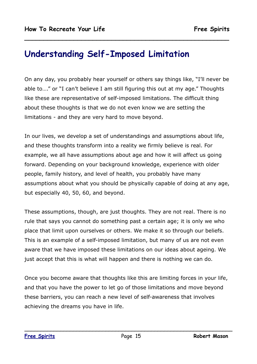### **Understanding Self-Imposed Limitation**

On any day, you probably hear yourself or others say things like, "I'll never be able to…." or "I can't believe I am still figuring this out at my age." Thoughts like these are representative of self-imposed limitations. The difficult thing about these thoughts is that we do not even know we are setting the limitations - and they are very hard to move beyond.

**\_\_\_\_\_\_\_\_\_\_\_\_\_\_\_\_\_\_\_\_\_\_\_\_\_\_\_\_\_\_\_\_\_\_\_\_\_\_\_\_\_\_\_\_\_\_\_\_\_\_\_\_\_\_**

In our lives, we develop a set of understandings and assumptions about life, and these thoughts transform into a reality we firmly believe is real. For example, we all have assumptions about age and how it will affect us going forward. Depending on your background knowledge, experience with older people, family history, and level of health, you probably have many assumptions about what you should be physically capable of doing at any age, but especially 40, 50, 60, and beyond.

These assumptions, though, are just thoughts. They are not real. There is no rule that says you cannot do something past a certain age; it is only we who place that limit upon ourselves or others. We make it so through our beliefs. This is an example of a self-imposed limitation, but many of us are not even aware that we have imposed these limitations on our ideas about ageing. We just accept that this is what will happen and there is nothing we can do.

Once you become aware that thoughts like this are limiting forces in your life, and that you have the power to let go of those limitations and move beyond these barriers, you can reach a new level of self-awareness that involves achieving the dreams you have in life.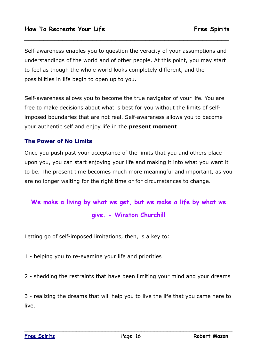Self-awareness enables you to question the veracity of your assumptions and understandings of the world and of other people. At this point, you may start to feel as though the whole world looks completely different, and the possibilities in life begin to open up to you.

**\_\_\_\_\_\_\_\_\_\_\_\_\_\_\_\_\_\_\_\_\_\_\_\_\_\_\_\_\_\_\_\_\_\_\_\_\_\_\_\_\_\_\_\_\_\_\_\_\_\_\_\_\_\_**

Self-awareness allows you to become the true navigator of your life. You are free to make decisions about what is best for you without the limits of selfimposed boundaries that are not real. Self-awareness allows you to become your authentic self and enjoy life in the **present moment**.

#### **The Power of No Limits**

Once you push past your acceptance of the limits that you and others place upon you, you can start enjoying your life and making it into what you want it to be. The present time becomes much more meaningful and important, as you are no longer waiting for the right time or for circumstances to change.

## **We make a living by what we get, but we make a life by what we give. - Winston Churchill**

Letting go of self-imposed limitations, then, is a key to:

1 - helping you to re-examine your life and priorities

2 - shedding the restraints that have been limiting your mind and your dreams

3 - realizing the dreams that will help you to live the life that you came here to live.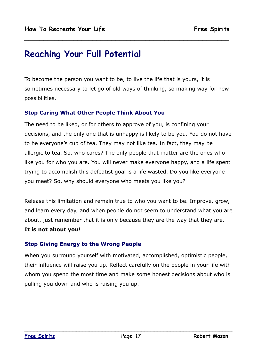## **Reaching Your Full Potential**

To become the person you want to be, to live the life that is yours, it is sometimes necessary to let go of old ways of thinking, so making way for new possibilities.

**\_\_\_\_\_\_\_\_\_\_\_\_\_\_\_\_\_\_\_\_\_\_\_\_\_\_\_\_\_\_\_\_\_\_\_\_\_\_\_\_\_\_\_\_\_\_\_\_\_\_\_\_\_\_**

#### **Stop Caring What Other People Think About You**

The need to be liked, or for others to approve of you, is confining your decisions, and the only one that is unhappy is likely to be you. You do not have to be everyone's cup of tea. They may not like tea. In fact, they may be allergic to tea. So, who cares? The only people that matter are the ones who like you for who you are. You will never make everyone happy, and a life spent trying to accomplish this defeatist goal is a life wasted. Do you like everyone you meet? So, why should everyone who meets you like you?

Release this limitation and remain true to who you want to be. Improve, grow, and learn every day, and when people do not seem to understand what you are about, just remember that it is only because they are the way that they are.

#### **It is not about you!**

#### **Stop Giving Energy to the Wrong People**

When you surround yourself with motivated, accomplished, optimistic people, their influence will raise you up. Reflect carefully on the people in your life with whom you spend the most time and make some honest decisions about who is pulling you down and who is raising you up.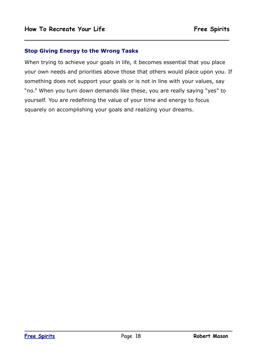#### **Stop Giving Energy to the Wrong Tasks**

When trying to achieve your goals in life, it becomes essential that you place your own needs and priorities above those that others would place upon you. If something does not support your goals or is not in line with your values, say "no." When you turn down demands like these, you are really saying "yes" to yourself. You are redefining the value of your time and energy to focus squarely on accomplishing your goals and realizing your dreams.

**\_\_\_\_\_\_\_\_\_\_\_\_\_\_\_\_\_\_\_\_\_\_\_\_\_\_\_\_\_\_\_\_\_\_\_\_\_\_\_\_\_\_\_\_\_\_\_\_\_\_\_\_\_\_**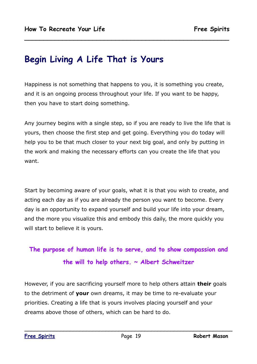## **Begin Living A Life That is Yours**

Happiness is not something that happens to you, it is something you create, and it is an ongoing process throughout your life. If you want to be happy, then you have to start doing something.

**\_\_\_\_\_\_\_\_\_\_\_\_\_\_\_\_\_\_\_\_\_\_\_\_\_\_\_\_\_\_\_\_\_\_\_\_\_\_\_\_\_\_\_\_\_\_\_\_\_\_\_\_\_\_**

Any journey begins with a single step, so if you are ready to live the life that is yours, then choose the first step and get going. Everything you do today will help you to be that much closer to your next big goal, and only by putting in the work and making the necessary efforts can you create the life that you want.

Start by becoming aware of your goals, what it is that you wish to create, and acting each day as if you are already the person you want to become. Every day is an opportunity to expand yourself and build your life into your dream, and the more you visualize this and embody this daily, the more quickly you will start to believe it is yours.

### **The purpose of human life is to serve, and to show compassion and the will to help others. ~ Albert Schweitzer**

However, if you are sacrificing yourself more to help others attain **their** goals to the detriment of **your** own dreams, it may be time to re-evaluate your priorities. Creating a life that is yours involves placing yourself and your dreams above those of others, which can be hard to do.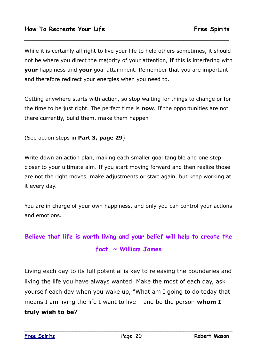While it is certainly all right to live your life to help others sometimes, it should not be where you direct the majority of your attention, **if** this is interfering with **your** happiness and **your** goal attainment. Remember that you are important and therefore redirect your energies when you need to.

**\_\_\_\_\_\_\_\_\_\_\_\_\_\_\_\_\_\_\_\_\_\_\_\_\_\_\_\_\_\_\_\_\_\_\_\_\_\_\_\_\_\_\_\_\_\_\_\_\_\_\_\_\_\_**

Getting anywhere starts with action, so stop waiting for things to change or for the time to be just right. The perfect time is **now**. If the opportunities are not there currently, build them, make them happen

(See action steps in **Part 3, page 29**)

Write down an action plan, making each smaller goal tangible and one step closer to your ultimate aim. If you start moving forward and then realize those are not the right moves, make adjustments or start again, but keep working at it every day.

You are in charge of your own happiness, and only you can control your actions and emotions.

## **Believe that life is worth living and your belief will help to create the fact. ~ William James**

Living each day to its full potential is key to releasing the boundaries and living the life you have always wanted. Make the most of each day, ask yourself each day when you wake up, "What am I going to do today that means I am living the life I want to live – and be the person **whom I truly wish to be**?"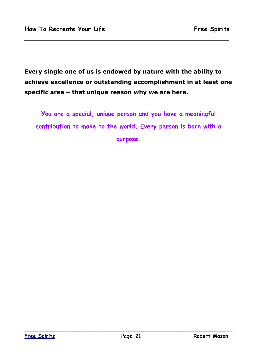**Every single one of us is endowed by nature with the ability to achieve excellence or outstanding accomplishment in at least one specific area – that unique reason why we are here.**

**\_\_\_\_\_\_\_\_\_\_\_\_\_\_\_\_\_\_\_\_\_\_\_\_\_\_\_\_\_\_\_\_\_\_\_\_\_\_\_\_\_\_\_\_\_\_\_\_\_\_\_\_\_\_**

**You are a special, unique person and you have a meaningful contribution to make to the world. Every person is born with a purpose.**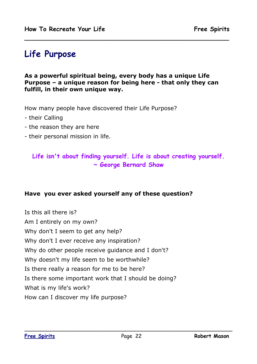## **Life Purpose**

**As a powerful spiritual being, every body has a unique Life Purpose – a unique reason for being here - that only they can fulfill, in their own unique way.**

**\_\_\_\_\_\_\_\_\_\_\_\_\_\_\_\_\_\_\_\_\_\_\_\_\_\_\_\_\_\_\_\_\_\_\_\_\_\_\_\_\_\_\_\_\_\_\_\_\_\_\_\_\_\_**

How many people have discovered their Life Purpose?

- their Calling
- the reason they are here
- their personal mission in life.

#### **Life isn't about finding yourself. Life is about creating yourself. ~ George Bernard Shaw**

#### **Have you ever asked yourself any of these question?**

Is this all there is? Am I entirely on my own? Why don't I seem to get any help? Why don't I ever receive any inspiration? Why do other people receive guidance and I don't? Why doesn't my life seem to be worthwhile? Is there really a reason for me to be here? Is there some important work that I should be doing? What is my life's work? How can I discover my life purpose?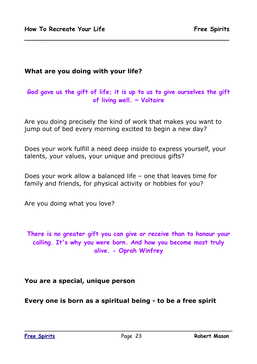#### **What are you doing with your life?**

#### **God gave us the gift of life; it is up to us to give ourselves the gift of living well. ~ Voltaire**

**\_\_\_\_\_\_\_\_\_\_\_\_\_\_\_\_\_\_\_\_\_\_\_\_\_\_\_\_\_\_\_\_\_\_\_\_\_\_\_\_\_\_\_\_\_\_\_\_\_\_\_\_\_\_**

Are you doing precisely the kind of work that makes you want to jump out of bed every morning excited to begin a new day?

Does your work fulfill a need deep inside to express yourself, your talents, your values, your unique and precious gifts?

Does your work allow a balanced life – one that leaves time for family and friends, for physical activity or hobbies for you?

Are you doing what you love?

**There is no greater gift you can give or receive than to honour your calling. It's why you were born. And how you become most truly alive. - Oprah Winfrey**

#### **You are a special, unique person**

**Every one is born as a spiritual being - to be a free spirit**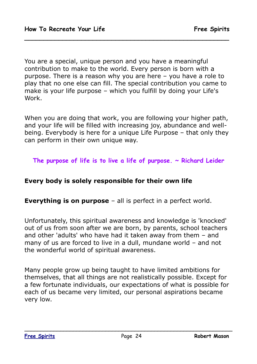You are a special, unique person and you have a meaningful contribution to make to the world. Every person is born with a purpose. There is a reason why you are here – you have a role to play that no one else can fill. The special contribution you came to make is your life purpose – which you fulfill by doing your Life's Work.

**\_\_\_\_\_\_\_\_\_\_\_\_\_\_\_\_\_\_\_\_\_\_\_\_\_\_\_\_\_\_\_\_\_\_\_\_\_\_\_\_\_\_\_\_\_\_\_\_\_\_\_\_\_\_**

When you are doing that work, you are following your higher path, and your life will be filled with increasing joy, abundance and wellbeing. Everybody is here for a unique Life Purpose – that only they can perform in their own unique way.

**The purpose of life is to live a life of purpose. ~ Richard Leider**

#### **Every body is solely responsible for their own life**

**Everything is on purpose** – all is perfect in a perfect world.

Unfortunately, this spiritual awareness and knowledge is 'knocked' out of us from soon after we are born, by parents, school teachers and other 'adults' who have had it taken away from them – and many of us are forced to live in a dull, mundane world – and not the wonderful world of spiritual awareness.

Many people grow up being taught to have limited ambitions for themselves, that all things are not realistically possible. Except for a few fortunate individuals, our expectations of what is possible for each of us became very limited, our personal aspirations became very low.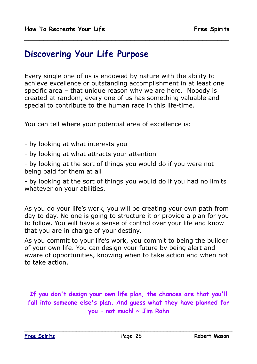### **Discovering Your Life Purpose**

Every single one of us is endowed by nature with the ability to achieve excellence or outstanding accomplishment in at least one specific area – that unique reason why we are here. Nobody is created at random, every one of us has something valuable and special to contribute to the human race in this life-time.

**\_\_\_\_\_\_\_\_\_\_\_\_\_\_\_\_\_\_\_\_\_\_\_\_\_\_\_\_\_\_\_\_\_\_\_\_\_\_\_\_\_\_\_\_\_\_\_\_\_\_\_\_\_\_**

You can tell where your potential area of excellence is:

- by looking at what interests you
- by looking at what attracts your attention

- by looking at the sort of things you would do if you were not being paid for them at all

- by looking at the sort of things you would do if you had no limits whatever on your abilities.

As you do your life's work, you will be creating your own path from day to day. No one is going to structure it or provide a plan for you to follow. You will have a sense of control over your life and know that you are in charge of your destiny.

As you commit to your life's work, you commit to being the builder of your own life. You can design your future by being alert and aware of opportunities, knowing when to take action and when not to take action.

**If you don't design your own life plan, the chances are that you'll fall into someone else's plan. And guess what they have planned for you – not much! ~ Jim Rohn**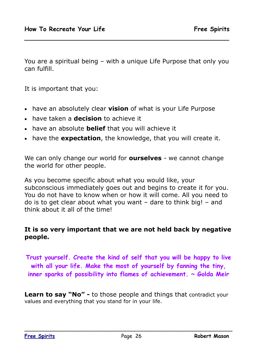You are a spiritual being – with a unique Life Purpose that only you can fulfill.

**\_\_\_\_\_\_\_\_\_\_\_\_\_\_\_\_\_\_\_\_\_\_\_\_\_\_\_\_\_\_\_\_\_\_\_\_\_\_\_\_\_\_\_\_\_\_\_\_\_\_\_\_\_\_**

It is important that you:

- have an absolutely clear **vision** of what is your Life Purpose
- have taken a **decision** to achieve it
- have an absolute **belief** that you will achieve it
- have the **expectation**, the knowledge, that you will create it.

We can only change our world for **ourselves** - we cannot change the world for other people.

As you become specific about what you would like, your subconscious immediately goes out and begins to create it for you. You do not have to know when or how it will come. All you need to do is to get clear about what you want – dare to think big! – and think about it all of the time!

#### **It is so very important that we are not held back by negative people.**

**Trust yourself. Create the kind of self that you will be happy to live with all your life. Make the most of yourself by fanning the tiny, inner sparks of possibility into flames of achievement. ~ Golda Meir**

**Learn to say "No" -** to those people and things that contradict your values and everything that you stand for in your life.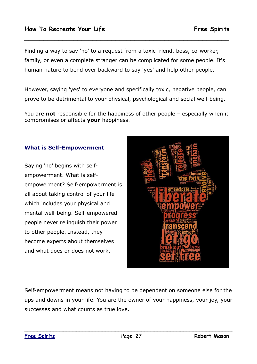Finding a way to say 'no' to a request from a toxic friend, boss, co-worker, family, or even a complete stranger can be complicated for some people. It's human nature to bend over backward to say 'yes' and help other people.

**\_\_\_\_\_\_\_\_\_\_\_\_\_\_\_\_\_\_\_\_\_\_\_\_\_\_\_\_\_\_\_\_\_\_\_\_\_\_\_\_\_\_\_\_\_\_\_\_\_\_\_\_\_\_**

However, saying 'yes' to everyone and specifically toxic, negative people, can prove to be detrimental to your physical, psychological and social well-being.

You are **not** responsible for the happiness of other people – especially when it compromises or affects **your** happiness.

#### **What is Self-Empowerment**

Saying 'no' begins with selfempowerment. What is selfempowerment? Self-empowerment is all about taking control of your life which includes your physical and mental well-being. Self-empowered people never relinquish their power to other people. Instead, they become experts about themselves and what does or does not work.



Self-empowerment means not having to be dependent on someone else for the ups and downs in your life. You are the owner of your happiness, your joy, your successes and what counts as true love.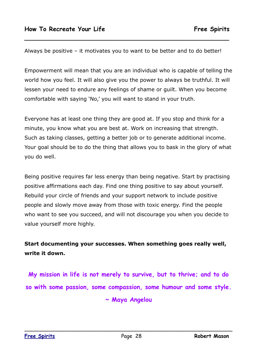Always be positive – it motivates you to want to be better and to do better!

**\_\_\_\_\_\_\_\_\_\_\_\_\_\_\_\_\_\_\_\_\_\_\_\_\_\_\_\_\_\_\_\_\_\_\_\_\_\_\_\_\_\_\_\_\_\_\_\_\_\_\_\_\_\_**

Empowerment will mean that you are an individual who is capable of telling the world how you feel. It will also give you the power to always be truthful. It will lessen your need to endure any feelings of shame or guilt. When you become comfortable with saying 'No,' you will want to stand in your truth.

Everyone has at least one thing they are good at. If you stop and think for a minute, you know what you are best at. Work on increasing that strength. Such as taking classes, getting a better job or to generate additional income. Your goal should be to do the thing that allows you to bask in the glory of what you do well.

Being positive requires far less energy than being negative. Start by practising positive affirmations each day. Find one thing positive to say about yourself. Rebuild your circle of friends and your support network to include positive people and slowly move away from those with toxic energy. Find the people who want to see you succeed, and will not discourage you when you decide to value yourself more highly.

**Start documenting your successes. When something goes really well, write it down.** 

**My mission in life is not merely to survive, but to thrive; and to do so with some passion, some compassion, some humour and some style.**

**~ Maya Angelou**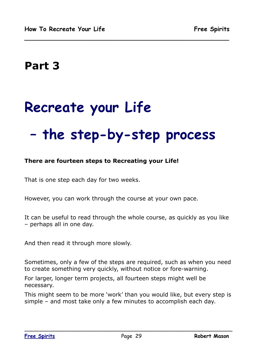## **Part 3**

# **Recreate your Life**

## **– the step-by-step process**

**\_\_\_\_\_\_\_\_\_\_\_\_\_\_\_\_\_\_\_\_\_\_\_\_\_\_\_\_\_\_\_\_\_\_\_\_\_\_\_\_\_\_\_\_\_\_\_\_\_\_\_\_\_\_**

#### **There are fourteen steps to Recreating your Life!**

That is one step each day for two weeks.

However, you can work through the course at your own pace.

It can be useful to read through the whole course, as quickly as you like – perhaps all in one day.

And then read it through more slowly.

Sometimes, only a few of the steps are required, such as when you need to create something very quickly, without notice or fore-warning.

For larger, longer term projects, all fourteen steps might well be necessary.

This might seem to be more 'work' than you would like, but every step is simple – and most take only a few minutes to accomplish each day.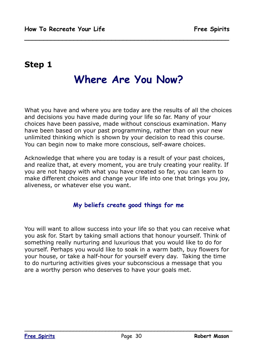### **Step 1**

## **Where Are You Now?**

**\_\_\_\_\_\_\_\_\_\_\_\_\_\_\_\_\_\_\_\_\_\_\_\_\_\_\_\_\_\_\_\_\_\_\_\_\_\_\_\_\_\_\_\_\_\_\_\_\_\_\_\_\_\_**

What you have and where you are today are the results of all the choices and decisions you have made during your life so far. Many of your choices have been passive, made without conscious examination. Many have been based on your past programming, rather than on your new unlimited thinking which is shown by your decision to read this course. You can begin now to make more conscious, self-aware choices.

Acknowledge that where you are today is a result of your past choices, and realize that, at every moment, you are truly creating your reality. If you are not happy with what you have created so far, you can learn to make different choices and change your life into one that brings you joy, aliveness, or whatever else you want.

#### **My beliefs create good things for me**

You will want to allow success into your life so that you can receive what you ask for. Start by taking small actions that honour yourself. Think of something really nurturing and luxurious that you would like to do for yourself. Perhaps you would like to soak in a warm bath, buy flowers for your house, or take a half-hour for yourself every day. Taking the time to do nurturing activities gives your subconscious a message that you are a worthy person who deserves to have your goals met.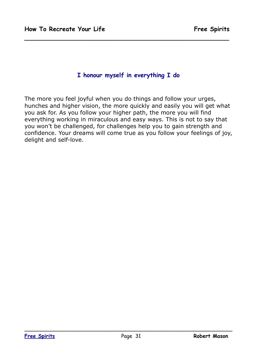#### **I honour myself in everything I do**

**\_\_\_\_\_\_\_\_\_\_\_\_\_\_\_\_\_\_\_\_\_\_\_\_\_\_\_\_\_\_\_\_\_\_\_\_\_\_\_\_\_\_\_\_\_\_\_\_\_\_\_\_\_\_**

The more you feel joyful when you do things and follow your urges, hunches and higher vision, the more quickly and easily you will get what you ask for. As you follow your higher path, the more you will find everything working in miraculous and easy ways. This is not to say that you won't be challenged, for challenges help you to gain strength and confidence. Your dreams will come true as you follow your feelings of joy, delight and self-love.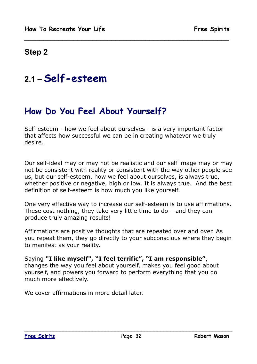#### **Step 2**

## **2.1 – Self-esteem**

## **How Do You Feel About Yourself?**

Self-esteem - how we feel about ourselves - is a very important factor that affects how successful we can be in creating whatever we truly desire.

**\_\_\_\_\_\_\_\_\_\_\_\_\_\_\_\_\_\_\_\_\_\_\_\_\_\_\_\_\_\_\_\_\_\_\_\_\_\_\_\_\_\_\_\_\_\_\_\_\_\_\_\_\_\_**

Our self-ideal may or may not be realistic and our self image may or may not be consistent with reality or consistent with the way other people see us, but our self-esteem, how we feel about ourselves, is always true, whether positive or negative, high or low. It is always true. And the best definition of self-esteem is how much you like yourself.

One very effective way to increase our self-esteem is to use affirmations. These cost nothing, they take very little time to do – and they can produce truly amazing results!

Affirmations are positive thoughts that are repeated over and over. As you repeat them, they go directly to your subconscious where they begin to manifest as your reality.

Saying **"I like myself", "I feel terrific", "I am responsible"**, changes the way you feel about yourself, makes you feel good about yourself, and powers you forward to perform everything that you do much more effectively.

We cover affirmations in more detail later.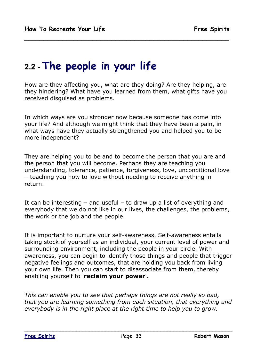## **2.2 - The people in your life**

How are they affecting you, what are they doing? Are they helping, are they hindering? What have you learned from them, what gifts have you received disguised as problems.

**\_\_\_\_\_\_\_\_\_\_\_\_\_\_\_\_\_\_\_\_\_\_\_\_\_\_\_\_\_\_\_\_\_\_\_\_\_\_\_\_\_\_\_\_\_\_\_\_\_\_\_\_\_\_**

In which ways are you stronger now because someone has come into your life? And although we might think that they have been a pain, in what ways have they actually strengthened you and helped you to be more independent?

They are helping you to be and to become the person that you are and the person that you will become. Perhaps they are teaching you understanding, tolerance, patience, forgiveness, love, unconditional love – teaching you how to love without needing to receive anything in return.

It can be interesting  $-$  and useful  $-$  to draw up a list of everything and everybody that we do not like in our lives, the challenges, the problems, the work or the job and the people.

It is important to nurture your self-awareness. Self-awareness entails taking stock of yourself as an individual, your current level of power and surrounding environment, including the people in your circle. With awareness, you can begin to identify those things and people that trigger negative feelings and outcomes, that are holding you back from living your own life. Then you can start to disassociate from them, thereby enabling yourself to '**reclaim your power**'.

*This can enable you to see that perhaps things are not really so bad, that you are learning something from each situation, that everything and everybody is in the right place at the right time to help you to grow.*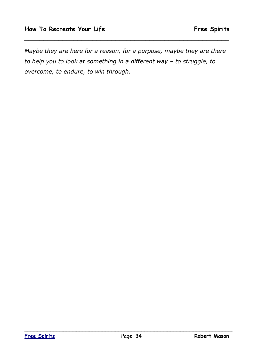*Maybe they are here for a reason, for a purpose, maybe they are there to help you to look at something in a different way – to struggle, to overcome, to endure, to win through.*

**\_\_\_\_\_\_\_\_\_\_\_\_\_\_\_\_\_\_\_\_\_\_\_\_\_\_\_\_\_\_\_\_\_\_\_\_\_\_\_\_\_\_\_\_\_\_\_\_\_\_\_\_\_\_**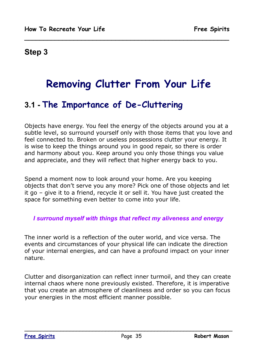#### **Step 3**

## **Removing Clutter From Your Life**

**\_\_\_\_\_\_\_\_\_\_\_\_\_\_\_\_\_\_\_\_\_\_\_\_\_\_\_\_\_\_\_\_\_\_\_\_\_\_\_\_\_\_\_\_\_\_\_\_\_\_\_\_\_\_**

## **3.1 - The Importance of De-Cluttering**

Objects have energy. You feel the energy of the objects around you at a subtle level, so surround yourself only with those items that you love and feel connected to. Broken or useless possessions clutter your energy. It is wise to keep the things around you in good repair, so there is order and harmony about you. Keep around you only those things you value and appreciate, and they will reflect that higher energy back to you.

Spend a moment now to look around your home. Are you keeping objects that don't serve you any more? Pick one of those objects and let it go – give it to a friend, recycle it or sell it. You have just created the space for something even better to come into your life.

#### *I surround myself with things that reflect my aliveness and energy*

The inner world is a reflection of the outer world, and vice versa. The events and circumstances of your physical life can indicate the direction of your internal energies, and can have a profound impact on your inner nature.

Clutter and disorganization can reflect inner turmoil, and they can create internal chaos where none previously existed. Therefore, it is imperative that you create an atmosphere of cleanliness and order so you can focus your energies in the most efficient manner possible.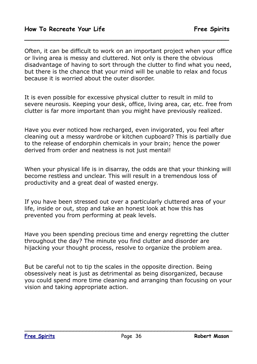Often, it can be difficult to work on an important project when your office or living area is messy and cluttered. Not only is there the obvious disadvantage of having to sort through the clutter to find what you need, but there is the chance that your mind will be unable to relax and focus because it is worried about the outer disorder.

**\_\_\_\_\_\_\_\_\_\_\_\_\_\_\_\_\_\_\_\_\_\_\_\_\_\_\_\_\_\_\_\_\_\_\_\_\_\_\_\_\_\_\_\_\_\_\_\_\_\_\_\_\_\_**

It is even possible for excessive physical clutter to result in mild to severe neurosis. Keeping your desk, office, living area, car, etc. free from clutter is far more important than you might have previously realized.

Have you ever noticed how recharged, even invigorated, you feel after cleaning out a messy wardrobe or kitchen cupboard? This is partially due to the release of endorphin chemicals in your brain; hence the power derived from order and neatness is not just mental!

When your physical life is in disarray, the odds are that your thinking will become restless and unclear. This will result in a tremendous loss of productivity and a great deal of wasted energy.

If you have been stressed out over a particularly cluttered area of your life, inside or out, stop and take an honest look at how this has prevented you from performing at peak levels.

Have you been spending precious time and energy regretting the clutter throughout the day? The minute you find clutter and disorder are hijacking your thought process, resolve to organize the problem area.

But be careful not to tip the scales in the opposite direction. Being obsessively neat is just as detrimental as being disorganized, because you could spend more time cleaning and arranging than focusing on your vision and taking appropriate action.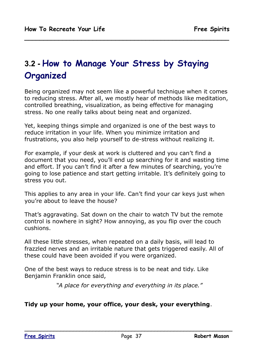# **3.2 - How to Manage Your Stress by Staying Organized**

Being organized may not seem like a powerful technique when it comes to reducing stress. After all, we mostly hear of methods like meditation, controlled breathing, visualization, as being effective for managing stress. No one really talks about being neat and organized.

**\_\_\_\_\_\_\_\_\_\_\_\_\_\_\_\_\_\_\_\_\_\_\_\_\_\_\_\_\_\_\_\_\_\_\_\_\_\_\_\_\_\_\_\_\_\_\_\_\_\_\_\_\_\_**

Yet, keeping things simple and organized is one of the best ways to reduce irritation in your life. When you minimize irritation and frustrations, you also help yourself to de-stress without realizing it.

For example, if your desk at work is cluttered and you can't find a document that you need, you'll end up searching for it and wasting time and effort. If you can't find it after a few minutes of searching, you're going to lose patience and start getting irritable. It's definitely going to stress you out.

This applies to any area in your life. Can't find your car keys just when you're about to leave the house?

That's aggravating. Sat down on the chair to watch TV but the remote control is nowhere in sight? How annoying, as you flip over the couch cushions.

All these little stresses, when repeated on a daily basis, will lead to frazzled nerves and an irritable nature that gets triggered easily. All of these could have been avoided if you were organized.

One of the best ways to reduce stress is to be neat and tidy. Like Benjamin Franklin once said,

*"A place for everything and everything in its place."*

### **Tidy up your home, your office, your desk, your everything**.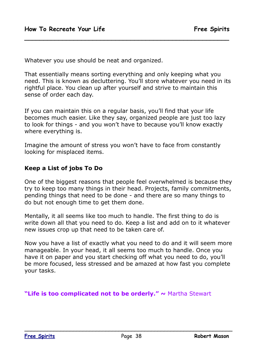Whatever you use should be neat and organized.

That essentially means sorting everything and only keeping what you need. This is known as decluttering. You'll store whatever you need in its rightful place. You clean up after yourself and strive to maintain this sense of order each day.

**\_\_\_\_\_\_\_\_\_\_\_\_\_\_\_\_\_\_\_\_\_\_\_\_\_\_\_\_\_\_\_\_\_\_\_\_\_\_\_\_\_\_\_\_\_\_\_\_\_\_\_\_\_\_**

If you can maintain this on a regular basis, you'll find that your life becomes much easier. Like they say, organized people are just too lazy to look for things - and you won't have to because you'll know exactly where everything is.

Imagine the amount of stress you won't have to face from constantly looking for misplaced items.

### **Keep a List of jobs To Do**

One of the biggest reasons that people feel overwhelmed is because they try to keep too many things in their head. Projects, family commitments, pending things that need to be done - and there are so many things to do but not enough time to get them done.

Mentally, it all seems like too much to handle. The first thing to do is write down all that you need to do. Keep a list and add on to it whatever new issues crop up that need to be taken care of.

Now you have a list of exactly what you need to do and it will seem more manageable. In your head, it all seems too much to handle. Once you have it on paper and you start checking off what you need to do, you'll be more focused, less stressed and be amazed at how fast you complete your tasks.

**"Life is too complicated not to be orderly."** ~ Martha Stewart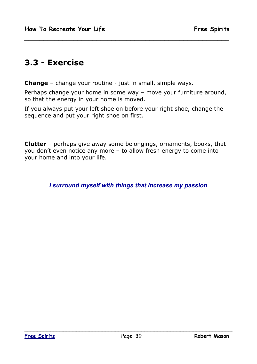## **3.3 - Exercise**

**Change** – change your routine - just in small, simple ways.

Perhaps change your home in some way – move your furniture around, so that the energy in your home is moved.

**\_\_\_\_\_\_\_\_\_\_\_\_\_\_\_\_\_\_\_\_\_\_\_\_\_\_\_\_\_\_\_\_\_\_\_\_\_\_\_\_\_\_\_\_\_\_\_\_\_\_\_\_\_\_**

If you always put your left shoe on before your right shoe, change the sequence and put your right shoe on first.

**Clutter** – perhaps give away some belongings, ornaments, books, that you don't even notice any more – to allow fresh energy to come into your home and into your life.

*I surround myself with things that increase my passion*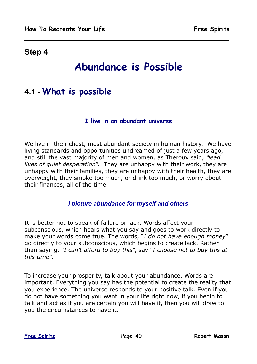# **Abundance is Possible**

**\_\_\_\_\_\_\_\_\_\_\_\_\_\_\_\_\_\_\_\_\_\_\_\_\_\_\_\_\_\_\_\_\_\_\_\_\_\_\_\_\_\_\_\_\_\_\_\_\_\_\_\_\_\_**

## **4.1 - What is possible**

#### **I live in an abundant universe**

We live in the richest, most abundant society in human history. We have living standards and opportunities undreamed of just a few years ago, and still the vast majority of men and women, as Theroux said, *"lead lives of quiet desperation*". They are unhappy with their work, they are unhappy with their families, they are unhappy with their health, they are overweight, they smoke too much, or drink too much, or worry about their finances, all of the time.

### *I picture abundance for myself and others*

It is better not to speak of failure or lack. Words affect your subconscious, which hears what you say and goes to work directly to make your words come true. The words, "*I do not have enough money*" go directly to your subconscious, which begins to create lack. Rather than saying, "*I can't afford to buy this*", say "*I choose not to buy this at this time*".

To increase your prosperity, talk about your abundance. Words are important. Everything you say has the potential to create the reality that you experience. The universe responds to your positive talk. Even if you do not have something you want in your life right now, if you begin to talk and act as if you are certain you will have it, then you will draw to you the circumstances to have it.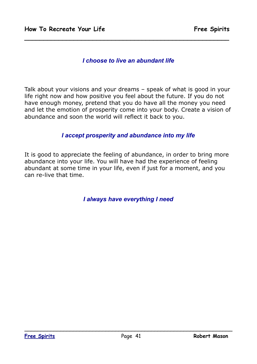### *I choose to live an abundant life*

**\_\_\_\_\_\_\_\_\_\_\_\_\_\_\_\_\_\_\_\_\_\_\_\_\_\_\_\_\_\_\_\_\_\_\_\_\_\_\_\_\_\_\_\_\_\_\_\_\_\_\_\_\_\_**

Talk about your visions and your dreams – speak of what is good in your life right now and how positive you feel about the future. If you do not have enough money, pretend that you do have all the money you need and let the emotion of prosperity come into your body. Create a vision of abundance and soon the world will reflect it back to you.

#### *I accept prosperity and abundance into my life*

It is good to appreciate the feeling of abundance, in order to bring more abundance into your life. You will have had the experience of feeling abundant at some time in your life, even if just for a moment, and you can re-live that time.

*I always have everything I need*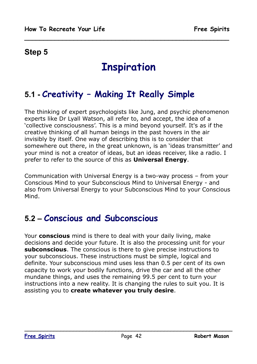# **Inspiration**

**\_\_\_\_\_\_\_\_\_\_\_\_\_\_\_\_\_\_\_\_\_\_\_\_\_\_\_\_\_\_\_\_\_\_\_\_\_\_\_\_\_\_\_\_\_\_\_\_\_\_\_\_\_\_**

# **5.1 - Creativity – Making It Really Simple**

The thinking of expert psychologists like Jung, and psychic phenomenon experts like Dr Lyall Watson, all refer to, and accept, the idea of a 'collective consciousness'. This is a mind beyond yourself. It's as if the creative thinking of all human beings in the past hovers in the air invisibly by itself. One way of describing this is to consider that somewhere out there, in the great unknown, is an 'ideas transmitter' and your mind is not a creator of ideas, but an ideas receiver, like a radio. I prefer to refer to the source of this as **Universal Energy**.

Communication with Universal Energy is a two-way process – from your Conscious Mind to your Subconscious Mind to Universal Energy - and also from Universal Energy to your Subconscious Mind to your Conscious Mind.

## **5.2 – Conscious and Subconscious**

Your **conscious** mind is there to deal with your daily living, make decisions and decide your future. It is also the processing unit for your **subconscious**. The conscious is there to give precise instructions to your subconscious. These instructions must be simple, logical and definite. Your subconscious mind uses less than 0.5 per cent of its own capacity to work your bodily functions, drive the car and all the other mundane things, and uses the remaining 99.5 per cent to turn your instructions into a new reality. It is changing the rules to suit you. It is assisting you to **create whatever you truly desire**.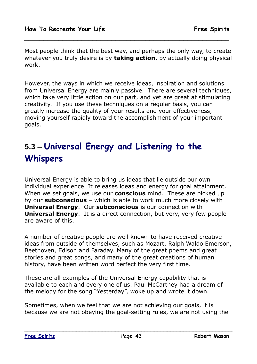Most people think that the best way, and perhaps the only way, to create whatever you truly desire is by **taking action**, by actually doing physical work.

**\_\_\_\_\_\_\_\_\_\_\_\_\_\_\_\_\_\_\_\_\_\_\_\_\_\_\_\_\_\_\_\_\_\_\_\_\_\_\_\_\_\_\_\_\_\_\_\_\_\_\_\_\_\_**

However, the ways in which we receive ideas, inspiration and solutions from Universal Energy are mainly passive. There are several techniques, which take very little action on our part, and yet are great at stimulating creativity. If you use these techniques on a regular basis, you can greatly increase the quality of your results and your effectiveness, moving yourself rapidly toward the accomplishment of your important goals.

# **5.3 – Universal Energy and Listening to the Whispers**

Universal Energy is able to bring us ideas that lie outside our own individual experience. It releases ideas and energy for goal attainment. When we set goals, we use our **conscious** mind. These are picked up by our **subconscious** – which is able to work much more closely with **Universal Energy**. Our **subconscious** is our connection with **Universal Energy**. It is a direct connection, but very, very few people are aware of this.

A number of creative people are well known to have received creative ideas from outside of themselves, such as Mozart, Ralph Waldo Emerson, Beethoven, Edison and Faraday. Many of the great poems and great stories and great songs, and many of the great creations of human history, have been written word perfect the very first time.

These are all examples of the Universal Energy capability that is available to each and every one of us. Paul McCartney had a dream of the melody for the song "Yesterday", woke up and wrote it down.

Sometimes, when we feel that we are not achieving our goals, it is because we are not obeying the goal-setting rules, we are not using the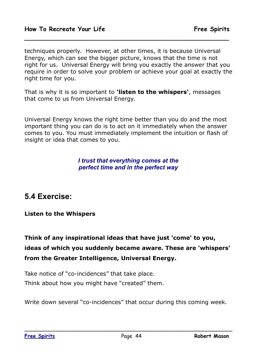techniques properly. However, at other times, it is because Universal Energy, which can see the bigger picture, knows that the time is not right for us. Universal Energy will bring you exactly the answer that you require in order to solve your problem or achieve your goal at exactly the right time for you.

**\_\_\_\_\_\_\_\_\_\_\_\_\_\_\_\_\_\_\_\_\_\_\_\_\_\_\_\_\_\_\_\_\_\_\_\_\_\_\_\_\_\_\_\_\_\_\_\_\_\_\_\_\_\_**

That is why it is so important to **'listen to the whispers'**, messages that come to us from Universal Energy.

Universal Energy knows the right time better than you do and the most important thing you can do is to act on it immediately when the answer comes to you. You must immediately implement the intuition or flash of insight or idea that comes to you.

### *I trust that everything comes at the perfect time and in the perfect way*

### **5.4 Exercise:**

### **Listen to the Whispers**

### **Think of any inspirational ideas that have just 'come' to you, ideas of which you suddenly became aware. These are 'whispers' from the Greater Intelligence, Universal Energy.**

Take notice of "co-incidences" that take place. Think about how you might have "created" them.

Write down several "co-incidences" that occur during this coming week.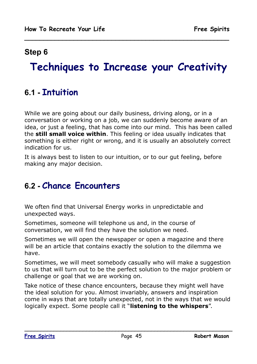# **Techniques to Increase your Creativity**

**\_\_\_\_\_\_\_\_\_\_\_\_\_\_\_\_\_\_\_\_\_\_\_\_\_\_\_\_\_\_\_\_\_\_\_\_\_\_\_\_\_\_\_\_\_\_\_\_\_\_\_\_\_\_**

### **6.1 - Intuition**

While we are going about our daily business, driving along, or in a conversation or working on a job, we can suddenly become aware of an idea, or just a feeling, that has come into our mind. This has been called the **still small voice within**. This feeling or idea usually indicates that something is either right or wrong, and it is usually an absolutely correct indication for us.

It is always best to listen to our intuition, or to our gut feeling, before making any major decision.

## **6.2 - Chance Encounters**

We often find that Universal Energy works in unpredictable and unexpected ways.

Sometimes, someone will telephone us and, in the course of conversation, we will find they have the solution we need.

Sometimes we will open the newspaper or open a magazine and there will be an article that contains exactly the solution to the dilemma we have.

Sometimes, we will meet somebody casually who will make a suggestion to us that will turn out to be the perfect solution to the major problem or challenge or goal that we are working on.

Take notice of these chance encounters, because they might well have the ideal solution for you. Almost invariably, answers and inspiration come in ways that are totally unexpected, not in the ways that we would logically expect. Some people call it "**listening to the whispers**".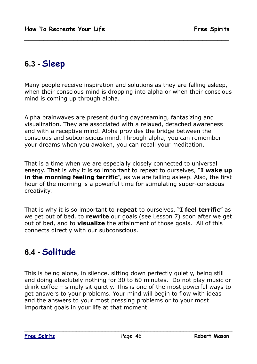# **6.3 - Sleep**

Many people receive inspiration and solutions as they are falling asleep, when their conscious mind is dropping into alpha or when their conscious mind is coming up through alpha.

**\_\_\_\_\_\_\_\_\_\_\_\_\_\_\_\_\_\_\_\_\_\_\_\_\_\_\_\_\_\_\_\_\_\_\_\_\_\_\_\_\_\_\_\_\_\_\_\_\_\_\_\_\_\_**

Alpha brainwaves are present during daydreaming, fantasizing and visualization. They are associated with a relaxed, detached awareness and with a receptive mind. Alpha provides the bridge between the conscious and subconscious mind. Through alpha, you can remember your dreams when you awaken, you can recall your meditation.

That is a time when we are especially closely connected to universal energy. That is why it is so important to repeat to ourselves, "**I wake up in the morning feeling terrific**", as we are falling asleep. Also, the first hour of the morning is a powerful time for stimulating super-conscious creativity.

That is why it is so important to **repeat** to ourselves, "**I feel terrific**" as we get out of bed, to **rewrite** our goals (see Lesson 7) soon after we get out of bed, and to **visualize** the attainment of those goals. All of this connects directly with our subconscious.

## **6.4 - Solitude**

This is being alone, in silence, sitting down perfectly quietly, being still and doing absolutely nothing for 30 to 60 minutes. Do not play music or drink coffee – simply sit quietly. This is one of the most powerful ways to get answers to your problems. Your mind will begin to flow with ideas and the answers to your most pressing problems or to your most important goals in your life at that moment.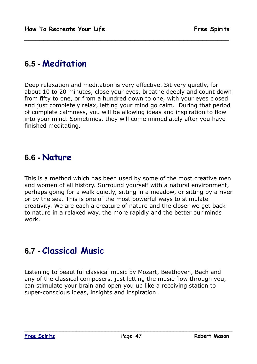## **6.5 - Meditation**

Deep relaxation and meditation is very effective. Sit very quietly, for about 10 to 20 minutes, close your eyes, breathe deeply and count down from fifty to one, or from a hundred down to one, with your eyes closed and just completely relax, letting your mind go calm. During that period of complete calmness, you will be allowing ideas and inspiration to flow into your mind. Sometimes, they will come immediately after you have finished meditating.

**\_\_\_\_\_\_\_\_\_\_\_\_\_\_\_\_\_\_\_\_\_\_\_\_\_\_\_\_\_\_\_\_\_\_\_\_\_\_\_\_\_\_\_\_\_\_\_\_\_\_\_\_\_\_**

### **6.6 - Nature**

This is a method which has been used by some of the most creative men and women of all history. Surround yourself with a natural environment, perhaps going for a walk quietly, sitting in a meadow, or sitting by a river or by the sea. This is one of the most powerful ways to stimulate creativity. We are each a creature of nature and the closer we get back to nature in a relaxed way, the more rapidly and the better our minds work.

## **6.7 - Classical Music**

Listening to beautiful classical music by Mozart, Beethoven, Bach and any of the classical composers, just letting the music flow through you, can stimulate your brain and open you up like a receiving station to super-conscious ideas, insights and inspiration.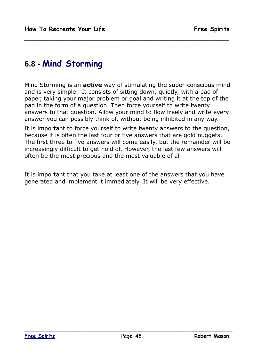## **6.8 - Mind Storming**

Mind Storming is an **active** way of stimulating the super-conscious mind and is very simple. It consists of sitting down, quietly, with a pad of paper, taking your major problem or goal and writing it at the top of the pad in the form of a question. Then force yourself to write twenty answers to that question. Allow your mind to flow freely and write every answer you can possibly think of, without being inhibited in any way.

**\_\_\_\_\_\_\_\_\_\_\_\_\_\_\_\_\_\_\_\_\_\_\_\_\_\_\_\_\_\_\_\_\_\_\_\_\_\_\_\_\_\_\_\_\_\_\_\_\_\_\_\_\_\_**

It is important to force yourself to write twenty answers to the question, because it is often the last four or five answers that are gold nuggets. The first three to five answers will come easily, but the remainder will be increasingly difficult to get hold of. However, the last few answers will often be the most precious and the most valuable of all.

It is important that you take at least one of the answers that you have generated and implement it immediately. It will be very effective.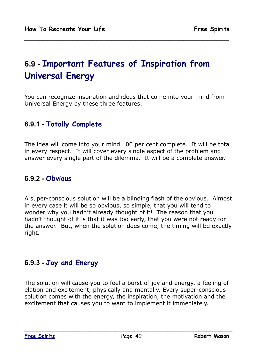# **6.9 - Important Features of Inspiration from Universal Energy**

You can recognize inspiration and ideas that come into your mind from Universal Energy by these three features.

**\_\_\_\_\_\_\_\_\_\_\_\_\_\_\_\_\_\_\_\_\_\_\_\_\_\_\_\_\_\_\_\_\_\_\_\_\_\_\_\_\_\_\_\_\_\_\_\_\_\_\_\_\_\_**

### **6.9.1 - Totally Complete**

The idea will come into your mind 100 per cent complete. It will be total in every respect. It will cover every single aspect of the problem and answer every single part of the dilemma. It will be a complete answer.

### **6.9.2 - Obvious**

A super-conscious solution will be a blinding flash of the obvious. Almost in every case it will be so obvious, so simple, that you will tend to wonder why you hadn't already thought of it! The reason that you hadn't thought of it is that it was too early, that you were not ready for the answer. But, when the solution does come, the timing will be exactly right.

### **6.9.3 - Joy and Energy**

The solution will cause you to feel a burst of joy and energy, a feeling of elation and excitement, physically and mentally. Every super-conscious solution comes with the energy, the inspiration, the motivation and the excitement that causes you to want to implement it immediately.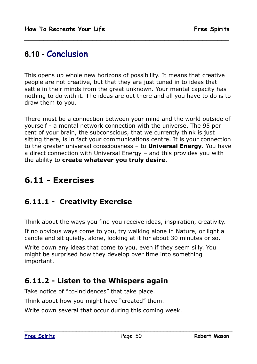## **6.10 - Conclusion**

This opens up whole new horizons of possibility. It means that creative people are not creative, but that they are just tuned in to ideas that settle in their minds from the great unknown. Your mental capacity has nothing to do with it. The ideas are out there and all you have to do is to draw them to you.

**\_\_\_\_\_\_\_\_\_\_\_\_\_\_\_\_\_\_\_\_\_\_\_\_\_\_\_\_\_\_\_\_\_\_\_\_\_\_\_\_\_\_\_\_\_\_\_\_\_\_\_\_\_\_**

There must be a connection between your mind and the world outside of yourself - a mental network connection with the universe. The 95 per cent of your brain, the subconscious, that we currently think is just sitting there, is in fact your communications centre. It is your connection to the greater universal consciousness – to **Universal Energy**. You have a direct connection with Universal Energy – and this provides you with the ability to **create whatever you truly desire**.

# **6.11 - Exercises**

### **6.11.1 - Creativity Exercise**

Think about the ways you find you receive ideas, inspiration, creativity.

If no obvious ways come to you, try walking alone in Nature, or light a candle and sit quietly, alone, looking at it for about 30 minutes or so.

Write down any ideas that come to you, even if they seem silly. You might be surprised how they develop over time into something important.

### **6.11.2 - Listen to the Whispers again**

Take notice of "co-incidences" that take place.

Think about how you might have "created" them.

Write down several that occur during this coming week.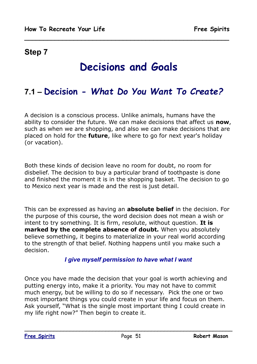# **Decisions and Goals**

**\_\_\_\_\_\_\_\_\_\_\_\_\_\_\_\_\_\_\_\_\_\_\_\_\_\_\_\_\_\_\_\_\_\_\_\_\_\_\_\_\_\_\_\_\_\_\_\_\_\_\_\_\_\_**

# **7.1 – Decision -** *What Do You Want To Create?*

A decision is a conscious process. Unlike animals, humans have the ability to consider the future. We can make decisions that affect us **now**, such as when we are shopping, and also we can make decisions that are placed on hold for the **future**, like where to go for next year's holiday (or vacation).

Both these kinds of decision leave no room for doubt, no room for disbelief. The decision to buy a particular brand of toothpaste is done and finished the moment it is in the shopping basket. The decision to go to Mexico next year is made and the rest is just detail.

This can be expressed as having an **absolute belief** in the decision. For the purpose of this course, the word decision does not mean a wish or intent to try something. It is firm, resolute, without question. **It is marked by the complete absence of doubt***.* When you absolutely believe something, it begins to materialize in your real world according to the strength of that belief. Nothing happens until you make such a decision.

### *I give myself permission to have what I want*

Once you have made the decision that your goal is worth achieving and putting energy into, make it a priority. You may not have to commit much energy, but be willing to do so if necessary. Pick the one or two most important things you could create in your life and focus on them. Ask yourself, "What is the single most important thing I could create in my life right now?" Then begin to create it.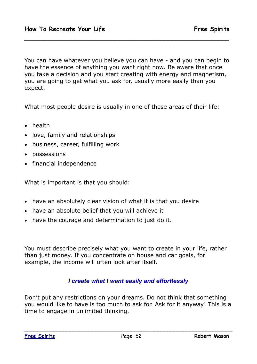You can have whatever you believe you can have - and you can begin to have the essence of anything you want right now. Be aware that once you take a decision and you start creating with energy and magnetism, you are going to get what you ask for, usually more easily than you expect.

**\_\_\_\_\_\_\_\_\_\_\_\_\_\_\_\_\_\_\_\_\_\_\_\_\_\_\_\_\_\_\_\_\_\_\_\_\_\_\_\_\_\_\_\_\_\_\_\_\_\_\_\_\_\_**

What most people desire is usually in one of these areas of their life:

- health
- love, family and relationships
- business, career, fulfilling work
- possessions
- financial independence

What is important is that you should:

- have an absolutely clear vision of what it is that you desire
- have an absolute belief that you will achieve it
- have the courage and determination to just do it.

You must describe precisely what you want to create in your life, rather than just money. If you concentrate on house and car goals, for example, the income will often look after itself.

### *I create what I want easily and effortlessly*

Don't put any restrictions on your dreams. Do not think that something you would like to have is too much to ask for. Ask for it anyway! This is a time to engage in unlimited thinking.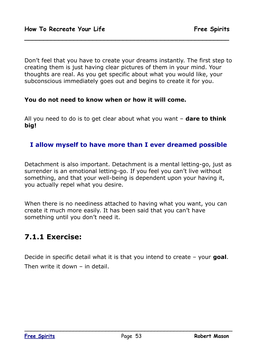Don't feel that you have to create your dreams instantly. The first step to creating them is just having clear pictures of them in your mind. Your thoughts are real. As you get specific about what you would like, your subconscious immediately goes out and begins to create it for you.

**\_\_\_\_\_\_\_\_\_\_\_\_\_\_\_\_\_\_\_\_\_\_\_\_\_\_\_\_\_\_\_\_\_\_\_\_\_\_\_\_\_\_\_\_\_\_\_\_\_\_\_\_\_\_**

#### **You do not need to know when or how it will come.**

All you need to do is to get clear about what you want – **dare to think big!**

### **I allow myself to have more than I ever dreamed possible**

Detachment is also important. Detachment is a mental letting-go, just as surrender is an emotional letting-go. If you feel you can't live without something, and that your well-being is dependent upon your having it, you actually repel what you desire.

When there is no neediness attached to having what you want, you can create it much more easily. It has been said that you can't have something until you don't need it.

### **7.1.1 Exercise:**

Decide in specific detail what it is that you intend to create – your **goal**. Then write it down – in detail.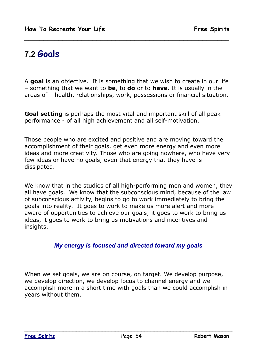# **7.2 Goals**

A **goal** is an objective. It is something that we wish to create in our life – something that we want to **be**, to **do** or to **have**. It is usually in the areas of – health, relationships, work, possessions or financial situation.

**\_\_\_\_\_\_\_\_\_\_\_\_\_\_\_\_\_\_\_\_\_\_\_\_\_\_\_\_\_\_\_\_\_\_\_\_\_\_\_\_\_\_\_\_\_\_\_\_\_\_\_\_\_\_**

**Goal setting** is perhaps the most vital and important skill of all peak performance - of all high achievement and all self-motivation.

Those people who are excited and positive and are moving toward the accomplishment of their goals, get even more energy and even more ideas and more creativity. Those who are going nowhere, who have very few ideas or have no goals, even that energy that they have is dissipated.

We know that in the studies of all high-performing men and women, they all have goals. We know that the subconscious mind, because of the law of subconscious activity, begins to go to work immediately to bring the goals into reality. It goes to work to make us more alert and more aware of opportunities to achieve our goals; it goes to work to bring us ideas, it goes to work to bring us motivations and incentives and insights.

### *My energy is focused and directed toward my goals*

When we set goals, we are on course, on target. We develop purpose, we develop direction, we develop focus to channel energy and we accomplish more in a short time with goals than we could accomplish in years without them.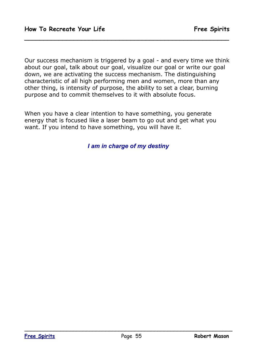Our success mechanism is triggered by a goal - and every time we think about our goal, talk about our goal, visualize our goal or write our goal down, we are activating the success mechanism. The distinguishing characteristic of all high performing men and women, more than any other thing, is intensity of purpose, the ability to set a clear, burning purpose and to commit themselves to it with absolute focus.

**\_\_\_\_\_\_\_\_\_\_\_\_\_\_\_\_\_\_\_\_\_\_\_\_\_\_\_\_\_\_\_\_\_\_\_\_\_\_\_\_\_\_\_\_\_\_\_\_\_\_\_\_\_\_**

When you have a clear intention to have something, you generate energy that is focused like a laser beam to go out and get what you want. If you intend to have something, you will have it.

*I am in charge of my destiny*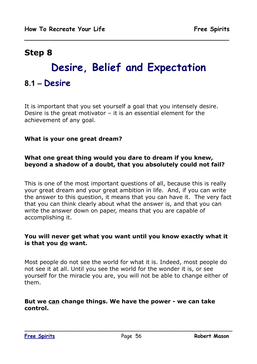# **Desire, Belief and Expectation**

**\_\_\_\_\_\_\_\_\_\_\_\_\_\_\_\_\_\_\_\_\_\_\_\_\_\_\_\_\_\_\_\_\_\_\_\_\_\_\_\_\_\_\_\_\_\_\_\_\_\_\_\_\_\_**

### **8.1 – Desire**

It is important that you set yourself a goal that you intensely desire. Desire is the great motivator  $-$  it is an essential element for the achievement of any goal.

#### **What is your one great dream?**

### **What one great thing would you dare to dream if you knew, beyond a shadow of a doubt, that you absolutely could not fail?**

This is one of the most important questions of all, because this is really your great dream and your great ambition in life. And, if you can write the answer to this question, it means that you can have it. The very fact that you can think clearly about what the answer is, and that you can write the answer down on paper, means that you are capable of accomplishing it.

#### **You will never get what you want until you know exactly what it is that you do want.**

Most people do not see the world for what it is. Indeed, most people do not see it at all. Until you see the world for the wonder it is, or see yourself for the miracle you are, you will not be able to change either of them.

#### **But we can change things. We have the power - we can take control.**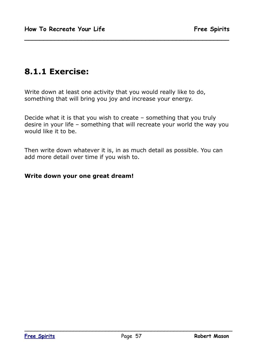### **8.1.1 Exercise:**

Write down at least one activity that you would really like to do, something that will bring you joy and increase your energy.

Decide what it is that you wish to create – something that you truly desire in your life – something that will recreate your world the way you would like it to be.

**\_\_\_\_\_\_\_\_\_\_\_\_\_\_\_\_\_\_\_\_\_\_\_\_\_\_\_\_\_\_\_\_\_\_\_\_\_\_\_\_\_\_\_\_\_\_\_\_\_\_\_\_\_\_**

Then write down whatever it is, in as much detail as possible. You can add more detail over time if you wish to.

#### **Write down your one great dream!**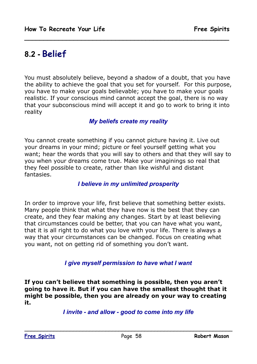### **8.2 - Belief**

You must absolutely believe, beyond a shadow of a doubt, that you have the ability to achieve the goal that you set for yourself. For this purpose, you have to make your goals believable; you have to make your goals realistic. If your conscious mind cannot accept the goal, there is no way that your subconscious mind will accept it and go to work to bring it into reality

**\_\_\_\_\_\_\_\_\_\_\_\_\_\_\_\_\_\_\_\_\_\_\_\_\_\_\_\_\_\_\_\_\_\_\_\_\_\_\_\_\_\_\_\_\_\_\_\_\_\_\_\_\_\_**

#### *My beliefs create my reality*

You cannot create something if you cannot picture having it. Live out your dreams in your mind; picture or feel yourself getting what you want; hear the words that you will say to others and that they will say to you when your dreams come true. Make your imaginings so real that they feel possible to create, rather than like wishful and distant fantasies.

### *I believe in my unlimited prosperity*

In order to improve your life, first believe that something better exists. Many people think that what they have now is the best that they can create, and they fear making any changes. Start by at least believing that circumstances could be better, that you can have what you want, that it is all right to do what you love with your life. There is always a way that your circumstances can be changed. Focus on creating what you want, not on getting rid of something you don't want.

#### *I give myself permission to have what I want*

**If you can't believe that something is possible, then you aren't going to have it. But if you can have the smallest thought that it might be possible, then you are already on your way to creating it.**

*I invite - and allow - good to come into my life*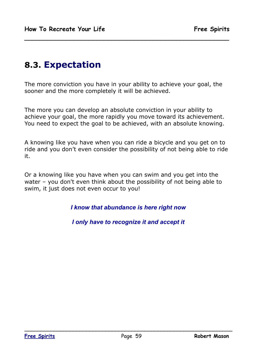## **8.3. Expectation**

The more conviction you have in your ability to achieve your goal, the sooner and the more completely it will be achieved.

**\_\_\_\_\_\_\_\_\_\_\_\_\_\_\_\_\_\_\_\_\_\_\_\_\_\_\_\_\_\_\_\_\_\_\_\_\_\_\_\_\_\_\_\_\_\_\_\_\_\_\_\_\_\_**

The more you can develop an absolute conviction in your ability to achieve your goal, the more rapidly you move toward its achievement. You need to expect the goal to be achieved, with an absolute knowing.

A knowing like you have when you can ride a bicycle and you get on to ride and you don't even consider the possibility of not being able to ride it.

Or a knowing like you have when you can swim and you get into the water – you don't even think about the possibility of not being able to swim, it just does not even occur to you!

*I know that abundance is here right now*

*I only have to recognize it and accept it*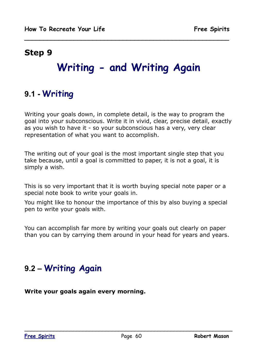# **Writing - and Writing Again**

**\_\_\_\_\_\_\_\_\_\_\_\_\_\_\_\_\_\_\_\_\_\_\_\_\_\_\_\_\_\_\_\_\_\_\_\_\_\_\_\_\_\_\_\_\_\_\_\_\_\_\_\_\_\_**

# **9.1 - Writing**

Writing your goals down, in complete detail, is the way to program the goal into your subconscious. Write it in vivid, clear, precise detail, exactly as you wish to have it - so your subconscious has a very, very clear representation of what you want to accomplish.

The writing out of your goal is the most important single step that you take because, until a goal is committed to paper, it is not a goal, it is simply a wish.

This is so very important that it is worth buying special note paper or a special note book to write your goals in.

You might like to honour the importance of this by also buying a special pen to write your goals with.

You can accomplish far more by writing your goals out clearly on paper than you can by carrying them around in your head for years and years.

# **9.2 – Writing Again**

**Write your goals again every morning.**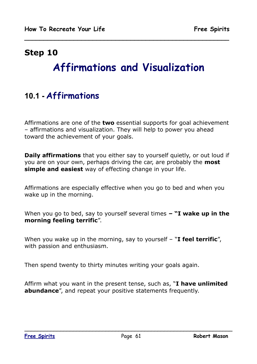# **Affirmations and Visualization**

**\_\_\_\_\_\_\_\_\_\_\_\_\_\_\_\_\_\_\_\_\_\_\_\_\_\_\_\_\_\_\_\_\_\_\_\_\_\_\_\_\_\_\_\_\_\_\_\_\_\_\_\_\_\_**

# **10.1 - Affirmations**

Affirmations are one of the **two** essential supports for goal achievement – affirmations and visualization. They will help to power you ahead toward the achievement of your goals.

**Daily affirmations** that you either say to yourself quietly, or out loud if you are on your own, perhaps driving the car, are probably the **most simple and easiest** way of effecting change in your life.

Affirmations are especially effective when you go to bed and when you wake up in the morning.

When you go to bed, say to yourself several times *–* **"I wake up in the morning feeling terrific**".

When you wake up in the morning, say to yourself – "**I feel terrific**", with passion and enthusiasm.

Then spend twenty to thirty minutes writing your goals again.

Affirm what you want in the present tense, such as, "**I have unlimited abundance**", and repeat your positive statements frequently.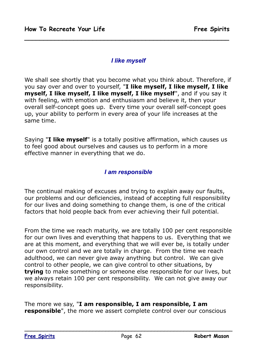### *I like myself*

**\_\_\_\_\_\_\_\_\_\_\_\_\_\_\_\_\_\_\_\_\_\_\_\_\_\_\_\_\_\_\_\_\_\_\_\_\_\_\_\_\_\_\_\_\_\_\_\_\_\_\_\_\_\_**

We shall see shortly that you become what you think about. Therefore, if you say over and over to yourself, "**I like myself, I like myself, I like myself, I like myself, I like myself, I like myself**", and if you say it with feeling, with emotion and enthusiasm and believe it, then your overall self-concept goes up. Every time your overall self-concept goes up, your ability to perform in every area of your life increases at the same time.

Saying "**I like myself**" is a totally positive affirmation, which causes us to feel good about ourselves and causes us to perform in a more effective manner in everything that we do.

### *I am responsible*

The continual making of excuses and trying to explain away our faults, our problems and our deficiencies, instead of accepting full responsibility for our lives and doing something to change them, is one of the critical factors that hold people back from ever achieving their full potential.

From the time we reach maturity, we are totally 100 per cent responsible for our own lives and everything that happens to us. Everything that we are at this moment, and everything that we will ever be, is totally under our own control and we are totally in charge. From the time we reach adulthood, we can never give away anything but control. We can give control to other people, we can give control to other situations, by **trying** to make something or someone else responsible for our lives, but we always retain 100 per cent responsibility. We can not give away our responsibility.

The more we say, "**I am responsible, I am responsible, I am responsible**", the more we assert complete control over our conscious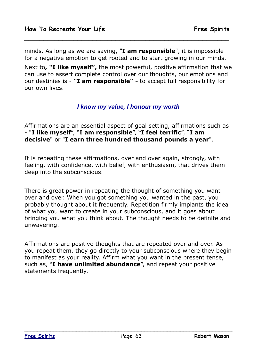minds. As long as we are saying, "**I am responsible**", it is impossible for a negative emotion to get rooted and to start growing in our minds.

**\_\_\_\_\_\_\_\_\_\_\_\_\_\_\_\_\_\_\_\_\_\_\_\_\_\_\_\_\_\_\_\_\_\_\_\_\_\_\_\_\_\_\_\_\_\_\_\_\_\_\_\_\_\_**

Next to**, "I like myself",** the most powerful, positive affirmation that we can use to assert complete control over our thoughts, our emotions and our destinies is - **"I am responsible" -** to accept full responsibility for our own lives.

### *I know my value, I honour my worth*

Affirmations are an essential aspect of goal setting, affirmations such as - "**I like myself**", "**I am responsible**", "**I feel terrific**", "**I am decisive**" or "**I earn three hundred thousand pounds a year**".

It is repeating these affirmations, over and over again, strongly, with feeling, with confidence, with belief, with enthusiasm, that drives them deep into the subconscious.

There is great power in repeating the thought of something you want over and over. When you got something you wanted in the past, you probably thought about it frequently. Repetition firmly implants the idea of what you want to create in your subconscious, and it goes about bringing you what you think about. The thought needs to be definite and unwavering.

Affirmations are positive thoughts that are repeated over and over. As you repeat them, they go directly to your subconscious where they begin to manifest as your reality. Affirm what you want in the present tense, such as, "**I have unlimited abundance**", and repeat your positive statements frequently.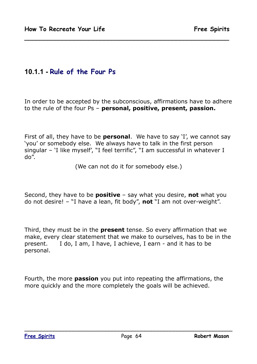### **10.1.1 - Rule of the Four Ps**

In order to be accepted by the subconscious, affirmations have to adhere to the rule of the four Ps – **personal, positive, present, passion.**

**\_\_\_\_\_\_\_\_\_\_\_\_\_\_\_\_\_\_\_\_\_\_\_\_\_\_\_\_\_\_\_\_\_\_\_\_\_\_\_\_\_\_\_\_\_\_\_\_\_\_\_\_\_\_**

First of all, they have to be **personal**. We have to say 'I', we cannot say 'you' or somebody else. We always have to talk in the first person singular – 'I like myself', "I feel terrific", "I am successful in whatever I do".

(We can not do it for somebody else.)

Second, they have to be **positive** – say what you desire, **not** what you do not desire! – "I have a lean, fit body", **not** "I am not over-weight".

Third, they must be in the **present** tense. So every affirmation that we make, every clear statement that we make to ourselves, has to be in the present. I do, I am, I have, I achieve, I earn - and it has to be personal.

Fourth, the more **passion** you put into repeating the affirmations, the more quickly and the more completely the goals will be achieved.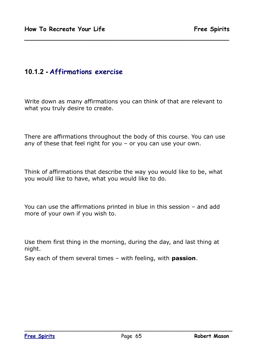### **10.1.2 - Affirmations exercise**

Write down as many affirmations you can think of that are relevant to what you truly desire to create.

**\_\_\_\_\_\_\_\_\_\_\_\_\_\_\_\_\_\_\_\_\_\_\_\_\_\_\_\_\_\_\_\_\_\_\_\_\_\_\_\_\_\_\_\_\_\_\_\_\_\_\_\_\_\_**

There are affirmations throughout the body of this course. You can use any of these that feel right for you – or you can use your own.

Think of affirmations that describe the way you would like to be, what you would like to have, what you would like to do.

You can use the affirmations printed in blue in this session – and add more of your own if you wish to.

Use them first thing in the morning, during the day, and last thing at night.

Say each of them several times – with feeling, with **passion**.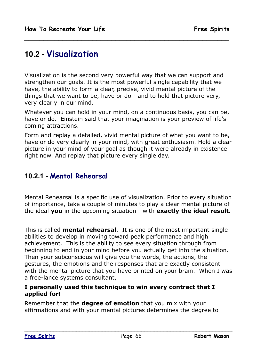## **10.2 - Visualization**

Visualization is the second very powerful way that we can support and strengthen our goals. It is the most powerful single capability that we have, the ability to form a clear, precise, vivid mental picture of the things that we want to be, have or do - and to hold that picture very, very clearly in our mind.

**\_\_\_\_\_\_\_\_\_\_\_\_\_\_\_\_\_\_\_\_\_\_\_\_\_\_\_\_\_\_\_\_\_\_\_\_\_\_\_\_\_\_\_\_\_\_\_\_\_\_\_\_\_\_**

Whatever you can hold in your mind, on a continuous basis, you can be, have or do. Einstein said that your imagination is your preview of life's coming attractions.

Form and replay a detailed, vivid mental picture of what you want to be, have or do very clearly in your mind, with great enthusiasm. Hold a clear picture in your mind of your goal as though it were already in existence right now. And replay that picture every single day.

### **10.2.1 - Mental Rehearsal**

Mental Rehearsal is a specific use of visualization. Prior to every situation of importance, take a couple of minutes to play a clear mental picture of the ideal **you** in the upcoming situation - with **exactly the ideal result.**

This is called **mental rehearsal**. It is one of the most important single abilities to develop in moving toward peak performance and high achievement. This is the ability to see every situation through from beginning to end in your mind before you actually get into the situation. Then your subconscious will give you the words, the actions, the gestures, the emotions and the responses that are exactly consistent with the mental picture that you have printed on your brain. When I was a free-lance systems consultant,

#### **I personally used this technique to win every contract that I applied for!**

Remember that the **degree of emotion** that you mix with your affirmations and with your mental pictures determines the degree to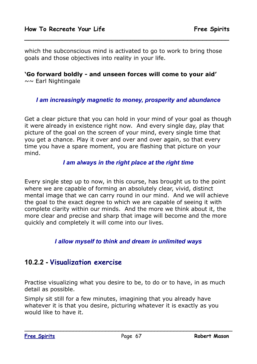which the subconscious mind is activated to go to work to bring those goals and those objectives into reality in your life.

**\_\_\_\_\_\_\_\_\_\_\_\_\_\_\_\_\_\_\_\_\_\_\_\_\_\_\_\_\_\_\_\_\_\_\_\_\_\_\_\_\_\_\_\_\_\_\_\_\_\_\_\_\_\_**

**'Go forward boldly - and unseen forces will come to your aid'** ~~ Earl Nightingale

### *I am increasingly magnetic to money, prosperity and abundance*

Get a clear picture that you can hold in your mind of your goal as though it were already in existence right now. And every single day, play that picture of the goal on the screen of your mind, every single time that you get a chance. Play it over and over and over again, so that every time you have a spare moment, you are flashing that picture on your mind.

### *I am always in the right place at the right time*

Every single step up to now, in this course, has brought us to the point where we are capable of forming an absolutely clear, vivid, distinct mental image that we can carry round in our mind. And we will achieve the goal to the exact degree to which we are capable of seeing it with complete clarity within our minds. And the more we think about it, the more clear and precise and sharp that image will become and the more quickly and completely it will come into our lives.

### *I allow myself to think and dream in unlimited ways*

### **10.2.2 - Visualization exercise**

Practise visualizing what you desire to be, to do or to have, in as much detail as possible.

Simply sit still for a few minutes, imagining that you already have whatever it is that you desire, picturing whatever it is exactly as you would like to have it.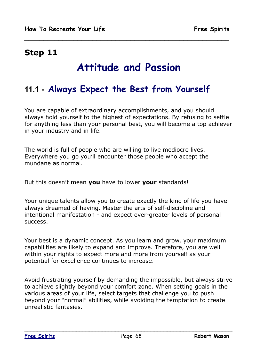# **Attitude and Passion**

**\_\_\_\_\_\_\_\_\_\_\_\_\_\_\_\_\_\_\_\_\_\_\_\_\_\_\_\_\_\_\_\_\_\_\_\_\_\_\_\_\_\_\_\_\_\_\_\_\_\_\_\_\_\_**

## **11.1 - Always Expect the Best from Yourself**

You are capable of extraordinary accomplishments, and you should always hold yourself to the highest of expectations. By refusing to settle for anything less than your personal best, you will become a top achiever in your industry and in life.

The world is full of people who are willing to live mediocre lives. Everywhere you go you'll encounter those people who accept the mundane as normal.

But this doesn't mean **you** have to lower **your** standards!

Your unique talents allow you to create exactly the kind of life you have always dreamed of having. Master the arts of self-discipline and intentional manifestation - and expect ever-greater levels of personal success.

Your best is a dynamic concept. As you learn and grow, your maximum capabilities are likely to expand and improve. Therefore, you are well within your rights to expect more and more from yourself as your potential for excellence continues to increase.

Avoid frustrating yourself by demanding the impossible, but always strive to achieve slightly beyond your comfort zone. When setting goals in the various areas of your life, select targets that challenge you to push beyond your "normal" abilities, while avoiding the temptation to create unrealistic fantasies.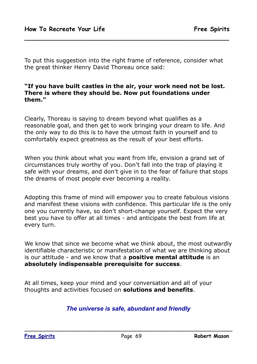To put this suggestion into the right frame of reference, consider what the great thinker Henry David Thoreau once said:

**\_\_\_\_\_\_\_\_\_\_\_\_\_\_\_\_\_\_\_\_\_\_\_\_\_\_\_\_\_\_\_\_\_\_\_\_\_\_\_\_\_\_\_\_\_\_\_\_\_\_\_\_\_\_**

#### **"If you have built castles in the air, your work need not be lost. There is where they should be. Now put foundations under them."**

Clearly, Thoreau is saying to dream beyond what qualifies as a reasonable goal, and then get to work bringing your dream to life. And the only way to do this is to have the utmost faith in yourself and to comfortably expect greatness as the result of your best efforts.

When you think about what you want from life, envision a grand set of circumstances truly worthy of you. Don't fall into the trap of playing it safe with your dreams, and don't give in to the fear of failure that stops the dreams of most people ever becoming a reality.

Adopting this frame of mind will empower you to create fabulous visions and manifest these visions with confidence. This particular life is the only one you currently have, so don't short-change yourself. Expect the very best you have to offer at all times - and anticipate the best from life at every turn.

We know that since we become what we think about, the most outwardly identifiable characteristic or manifestation of what we are thinking about is our attitude - and we know that a **positive mental attitude** is an **absolutely indispensable prerequisite for success**.

At all times, keep your mind and your conversation and all of your thoughts and activities focused on **solutions and benefits**.

### *The universe is safe, abundant and friendly*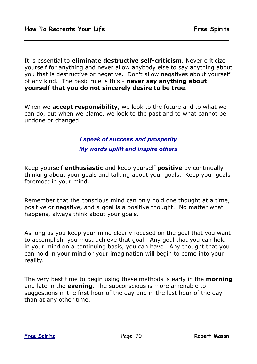It is essential to **eliminate destructive self-criticism**. Never criticize yourself for anything and never allow anybody else to say anything about you that is destructive or negative. Don't allow negatives about yourself of any kind. The basic rule is this - **never say anything about yourself that you do not sincerely desire to be true**.

**\_\_\_\_\_\_\_\_\_\_\_\_\_\_\_\_\_\_\_\_\_\_\_\_\_\_\_\_\_\_\_\_\_\_\_\_\_\_\_\_\_\_\_\_\_\_\_\_\_\_\_\_\_\_**

When we **accept responsibility**, we look to the future and to what we can do, but when we blame, we look to the past and to what cannot be undone or changed.

> *I speak of success and prosperity My words uplift and inspire others*

Keep yourself **enthusiastic** and keep yourself **positive** by continually thinking about your goals and talking about your goals. Keep your goals foremost in your mind.

Remember that the conscious mind can only hold one thought at a time, positive or negative, and a goal is a positive thought. No matter what happens, always think about your goals.

As long as you keep your mind clearly focused on the goal that you want to accomplish, you must achieve that goal. Any goal that you can hold in your mind on a continuing basis, you can have. Any thought that you can hold in your mind or your imagination will begin to come into your reality.

The very best time to begin using these methods is early in the **morning** and late in the **evening**. The subconscious is more amenable to suggestions in the first hour of the day and in the last hour of the day than at any other time.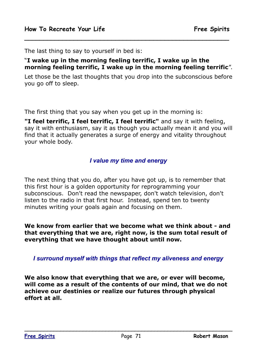The last thing to say to yourself in bed is:

#### "**I wake up in the morning feeling terrific, I wake up in the morning feeling terrific, I wake up in the morning feeling terrific**".

**\_\_\_\_\_\_\_\_\_\_\_\_\_\_\_\_\_\_\_\_\_\_\_\_\_\_\_\_\_\_\_\_\_\_\_\_\_\_\_\_\_\_\_\_\_\_\_\_\_\_\_\_\_\_**

Let those be the last thoughts that you drop into the subconscious before you go off to sleep.

The first thing that you say when you get up in the morning is:

**"I feel terrific, I feel terrific, I feel terrific"** and say it with feeling, say it with enthusiasm, say it as though you actually mean it and you will find that it actually generates a surge of energy and vitality throughout your whole body.

#### *I value my time and energy*

The next thing that you do, after you have got up, is to remember that this first hour is a golden opportunity for reprogramming your subconscious. Don't read the newspaper, don't watch television, don't listen to the radio in that first hour. Instead, spend ten to twenty minutes writing your goals again and focusing on them.

**We know from earlier that we become what we think about - and that everything that we are, right now, is the sum total result of everything that we have thought about until now.**

*I surround myself with things that reflect my aliveness and energy*

**We also know that everything that we are, or ever will become, will come as a result of the contents of our mind, that we do not achieve our destinies or realize our futures through physical effort at all.**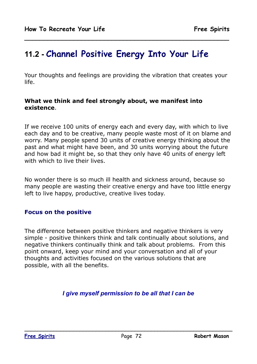# **11.2 - Channel Positive Energy Into Your Life**

Your thoughts and feelings are providing the vibration that creates your life.

**\_\_\_\_\_\_\_\_\_\_\_\_\_\_\_\_\_\_\_\_\_\_\_\_\_\_\_\_\_\_\_\_\_\_\_\_\_\_\_\_\_\_\_\_\_\_\_\_\_\_\_\_\_\_**

#### **What we think and feel strongly about, we manifest into existence**.

If we receive 100 units of energy each and every day, with which to live each day and to be creative, many people waste most of it on blame and worry. Many people spend 30 units of creative energy thinking about the past and what might have been, and 30 units worrying about the future and how bad it might be, so that they only have 40 units of energy left with which to live their lives.

No wonder there is so much ill health and sickness around, because so many people are wasting their creative energy and have too little energy left to live happy, productive, creative lives today.

### **Focus on the positive**

The difference between positive thinkers and negative thinkers is very simple - positive thinkers think and talk continually about solutions, and negative thinkers continually think and talk about problems. From this point onward, keep your mind and your conversation and all of your thoughts and activities focused on the various solutions that are possible, with all the benefits.

### *I give myself permission to be all that I can be*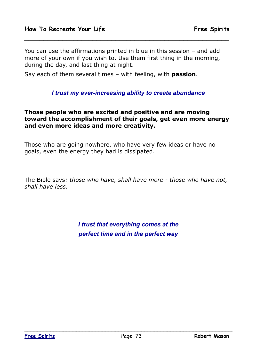You can use the affirmations printed in blue in this session – and add more of your own if you wish to. Use them first thing in the morning, during the day, and last thing at night.

**\_\_\_\_\_\_\_\_\_\_\_\_\_\_\_\_\_\_\_\_\_\_\_\_\_\_\_\_\_\_\_\_\_\_\_\_\_\_\_\_\_\_\_\_\_\_\_\_\_\_\_\_\_\_**

Say each of them several times – with feeling, with **passion**.

#### *I trust my ever-increasing ability to create abundance*

**Those people who are excited and positive and are moving toward the accomplishment of their goals, get even more energy and even more ideas and more creativity.** 

Those who are going nowhere, who have very few ideas or have no goals, even the energy they had is dissipated.

The Bible says*: those who have, shall have more - those who have not, shall have less.*

> *I trust that everything comes at the perfect time and in the perfect way*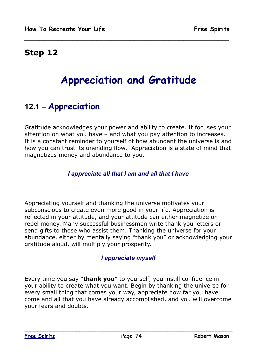## **Step 12**

# **Appreciation and Gratitude**

**\_\_\_\_\_\_\_\_\_\_\_\_\_\_\_\_\_\_\_\_\_\_\_\_\_\_\_\_\_\_\_\_\_\_\_\_\_\_\_\_\_\_\_\_\_\_\_\_\_\_\_\_\_\_**

# **12.1 – Appreciation**

Gratitude acknowledges your power and ability to create. It focuses your attention on what you have – and what you pay attention to increases. It is a constant reminder to yourself of how abundant the universe is and how you can trust its unending flow. Appreciation is a state of mind that magnetizes money and abundance to you.

### *I appreciate all that I am and all that I have*

Appreciating yourself and thanking the universe motivates your subconscious to create even more good in your life. Appreciation is reflected in your attitude, and your attitude can either magnetize or repel money. Many successful businessmen write thank you letters or send gifts to those who assist them. Thanking the universe for your abundance, either by mentally saying "thank you" or acknowledging your gratitude aloud, will multiply your prosperity.

#### *I appreciate myself*

Every time you say "**thank you**" to yourself, you instill confidence in your ability to create what you want. Begin by thanking the universe for every small thing that comes your way, appreciate how far you have come and all that you have already accomplished, and you will overcome your fears and doubts.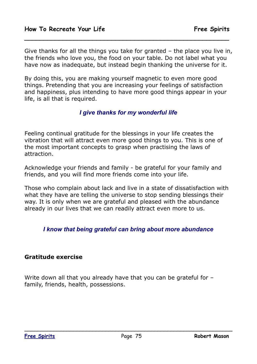Give thanks for all the things you take for granted – the place you live in, the friends who love you, the food on your table. Do not label what you have now as inadequate, but instead begin thanking the universe for it.

**\_\_\_\_\_\_\_\_\_\_\_\_\_\_\_\_\_\_\_\_\_\_\_\_\_\_\_\_\_\_\_\_\_\_\_\_\_\_\_\_\_\_\_\_\_\_\_\_\_\_\_\_\_\_**

By doing this, you are making yourself magnetic to even more good things. Pretending that you are increasing your feelings of satisfaction and happiness, plus intending to have more good things appear in your life, is all that is required.

#### *I give thanks for my wonderful life*

Feeling continual gratitude for the blessings in your life creates the vibration that will attract even more good things to you. This is one of the most important concepts to grasp when practising the laws of attraction.

Acknowledge your friends and family - be grateful for your family and friends, and you will find more friends come into your life.

Those who complain about lack and live in a state of dissatisfaction with what they have are telling the universe to stop sending blessings their way. It is only when we are grateful and pleased with the abundance already in our lives that we can readily attract even more to us.

#### *I know that being grateful can bring about more abundance*

#### **Gratitude exercise**

Write down all that you already have that you can be grateful for – family, friends, health, possessions.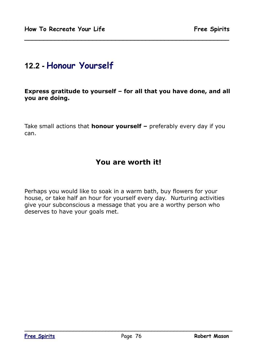## **12.2 - Honour Yourself**

#### **Express gratitude to yourself – for all that you have done, and all you are doing.**

**\_\_\_\_\_\_\_\_\_\_\_\_\_\_\_\_\_\_\_\_\_\_\_\_\_\_\_\_\_\_\_\_\_\_\_\_\_\_\_\_\_\_\_\_\_\_\_\_\_\_\_\_\_\_**

Take small actions that **honour yourself –** preferably every day if you can.

### **You are worth it!**

Perhaps you would like to soak in a warm bath, buy flowers for your house, or take half an hour for yourself every day. Nurturing activities give your subconscious a message that you are a worthy person who deserves to have your goals met.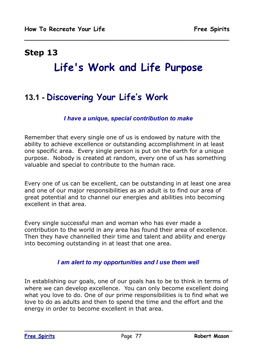## **Step 13**

# **Life's Work and Life Purpose**

**\_\_\_\_\_\_\_\_\_\_\_\_\_\_\_\_\_\_\_\_\_\_\_\_\_\_\_\_\_\_\_\_\_\_\_\_\_\_\_\_\_\_\_\_\_\_\_\_\_\_\_\_\_\_**

# **13.1 - Discovering Your Life's Work**

### *I have a unique, special contribution to make*

Remember that every single one of us is endowed by nature with the ability to achieve excellence or outstanding accomplishment in at least one specific area. Every single person is put on the earth for a unique purpose. Nobody is created at random, every one of us has something valuable and special to contribute to the human race.

Every one of us can be excellent, can be outstanding in at least one area and one of our major responsibilities as an adult is to find our area of great potential and to channel our energies and abilities into becoming excellent in that area.

Every single successful man and woman who has ever made a contribution to the world in any area has found their area of excellence. Then they have channelled their time and talent and ability and energy into becoming outstanding in at least that one area.

#### *I am alert to my opportunities and I use them well*

In establishing our goals, one of our goals has to be to think in terms of where we can develop excellence. You can only become excellent doing what you love to do. One of our prime responsibilities is to find what we love to do as adults and then to spend the time and the effort and the energy in order to become excellent in that area.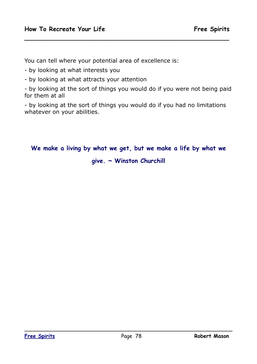You can tell where your potential area of excellence is:

- by looking at what interests you

- by looking at what attracts your attention

- by looking at the sort of things you would do if you were not being paid for them at all

**\_\_\_\_\_\_\_\_\_\_\_\_\_\_\_\_\_\_\_\_\_\_\_\_\_\_\_\_\_\_\_\_\_\_\_\_\_\_\_\_\_\_\_\_\_\_\_\_\_\_\_\_\_\_**

- by looking at the sort of things you would do if you had no limitations whatever on your abilities.

## **We make a living by what we get, but we make a life by what we give. ~ Winston Churchill**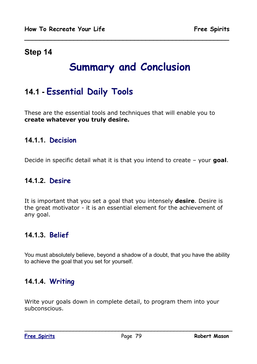## **Step 14**

# **Summary and Conclusion**

**\_\_\_\_\_\_\_\_\_\_\_\_\_\_\_\_\_\_\_\_\_\_\_\_\_\_\_\_\_\_\_\_\_\_\_\_\_\_\_\_\_\_\_\_\_\_\_\_\_\_\_\_\_\_**

# **14.1 - Essential Daily Tools**

These are the essential tools and techniques that will enable you to **create whatever you truly desire.**

### **14.1.1. Decision**

Decide in specific detail what it is that you intend to create – your **goal**.

### **14.1.2. Desire**

It is important that you set a goal that you intensely **desire**. Desire is the great motivator - it is an essential element for the achievement of any goal.

### **14.1.3. Belief**

You must absolutely believe, beyond a shadow of a doubt, that you have the ability to achieve the goal that you set for yourself.

### **14.1.4. Writing**

Write your goals down in complete detail, to program them into your subconscious.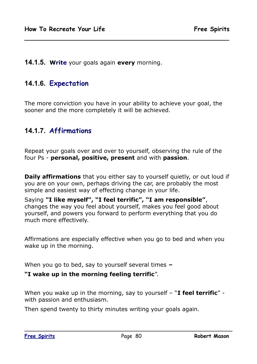### **14.1.5. Write** your goals again **every** morning.

### **14.1.6. Expectation**

The more conviction you have in your ability to achieve your goal, the sooner and the more completely it will be achieved.

**\_\_\_\_\_\_\_\_\_\_\_\_\_\_\_\_\_\_\_\_\_\_\_\_\_\_\_\_\_\_\_\_\_\_\_\_\_\_\_\_\_\_\_\_\_\_\_\_\_\_\_\_\_\_**

### **14.1.7. Affirmations**

Repeat your goals over and over to yourself, observing the rule of the four Ps - **personal, positive, present** and with **passion**.

**Daily affirmations** that you either say to yourself quietly, or out loud if you are on your own, perhaps driving the car, are probably the most simple and easiest way of effecting change in your life.

Saying **"I like myself", "I feel terrific", "I am responsible"**, changes the way you feel about yourself, makes you feel good about yourself, and powers you forward to perform everything that you do much more effectively.

Affirmations are especially effective when you go to bed and when you wake up in the morning.

When you go to bed, say to yourself several times *–* 

#### **"I wake up in the morning feeling terrific**".

When you wake up in the morning, say to yourself – "**I feel terrific**" with passion and enthusiasm.

Then spend twenty to thirty minutes writing your goals again.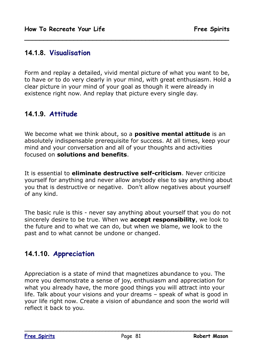### **14.1.8. Visualisation**

Form and replay a detailed, vivid mental picture of what you want to be, to have or to do very clearly in your mind, with great enthusiasm. Hold a clear picture in your mind of your goal as though it were already in existence right now. And replay that picture every single day.

**\_\_\_\_\_\_\_\_\_\_\_\_\_\_\_\_\_\_\_\_\_\_\_\_\_\_\_\_\_\_\_\_\_\_\_\_\_\_\_\_\_\_\_\_\_\_\_\_\_\_\_\_\_\_**

## **14.1.9. Attitude**

We become what we think about, so a **positive mental attitude** is an absolutely indispensable prerequisite for success. At all times, keep your mind and your conversation and all of your thoughts and activities focused on **solutions and benefits**.

It is essential to **eliminate destructive self-criticism**. Never criticize yourself for anything and never allow anybody else to say anything about you that is destructive or negative. Don't allow negatives about yourself of any kind.

The basic rule is this - never say anything about yourself that you do not sincerely desire to be true. When we **accept responsibility**, we look to the future and to what we can do, but when we blame, we look to the past and to what cannot be undone or changed.

### **14.1.10. Appreciation**

Appreciation is a state of mind that magnetizes abundance to you. The more you demonstrate a sense of joy, enthusiasm and appreciation for what you already have, the more good things you will attract into your life. Talk about your visions and your dreams – speak of what is good in your life right now. Create a vision of abundance and soon the world will reflect it back to you.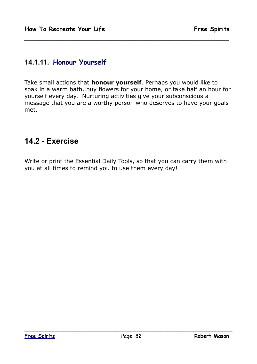### **14.1.11. Honour Yourself**

Take small actions that **honour yourself**. Perhaps you would like to soak in a warm bath, buy flowers for your home, or take half an hour for yourself every day. Nurturing activities give your subconscious a message that you are a worthy person who deserves to have your goals met.

**\_\_\_\_\_\_\_\_\_\_\_\_\_\_\_\_\_\_\_\_\_\_\_\_\_\_\_\_\_\_\_\_\_\_\_\_\_\_\_\_\_\_\_\_\_\_\_\_\_\_\_\_\_\_**

## **14.2 - Exercise**

Write or print the Essential Daily Tools, so that you can carry them with you at all times to remind you to use them every day!